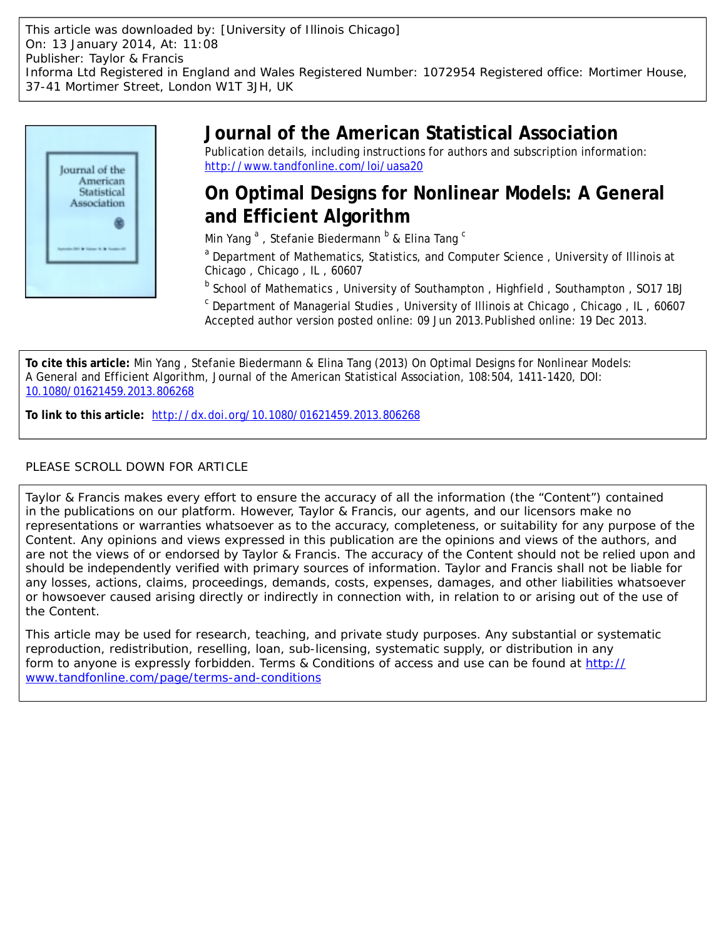This article was downloaded by: [University of Illinois Chicago] On: 13 January 2014, At: 11:08 Publisher: Taylor & Francis Informa Ltd Registered in England and Wales Registered Number: 1072954 Registered office: Mortimer House, 37-41 Mortimer Street, London W1T 3JH, UK



# **Journal of the American Statistical Association**

Publication details, including instructions for authors and subscription information: <http://www.tandfonline.com/loi/uasa20>

# **On Optimal Designs for Nonlinear Models: A General and Efficient Algorithm**

Min Yang <sup>a</sup> , Stefanie Biedermann <sup>b</sup> & Elina Tang <sup>c</sup>

<sup>a</sup> Department of Mathematics, Statistics, and Computer Science, University of Illinois at Chicago , Chicago , IL , 60607

<sup>b</sup> School of Mathematics, University of Southampton, Highfield, Southampton, SO17 1BJ

<sup>c</sup> Department of Managerial Studies, University of Illinois at Chicago, Chicago, IL, 60607 Accepted author version posted online: 09 Jun 2013. Published online: 19 Dec 2013.

**To cite this article:** Min Yang , Stefanie Biedermann & Elina Tang (2013) On Optimal Designs for Nonlinear Models: A General and Efficient Algorithm, Journal of the American Statistical Association, 108:504, 1411-1420, DOI: [10.1080/01621459.2013.806268](http://www.tandfonline.com/action/showCitFormats?doi=10.1080/01621459.2013.806268)

**To link to this article:** <http://dx.doi.org/10.1080/01621459.2013.806268>

### PLEASE SCROLL DOWN FOR ARTICLE

Taylor & Francis makes every effort to ensure the accuracy of all the information (the "Content") contained in the publications on our platform. However, Taylor & Francis, our agents, and our licensors make no representations or warranties whatsoever as to the accuracy, completeness, or suitability for any purpose of the Content. Any opinions and views expressed in this publication are the opinions and views of the authors, and are not the views of or endorsed by Taylor & Francis. The accuracy of the Content should not be relied upon and should be independently verified with primary sources of information. Taylor and Francis shall not be liable for any losses, actions, claims, proceedings, demands, costs, expenses, damages, and other liabilities whatsoever or howsoever caused arising directly or indirectly in connection with, in relation to or arising out of the use of the Content.

This article may be used for research, teaching, and private study purposes. Any substantial or systematic reproduction, redistribution, reselling, loan, sub-licensing, systematic supply, or distribution in any form to anyone is expressly forbidden. Terms & Conditions of access and use can be found at [http://](http://www.tandfonline.com/page/terms-and-conditions) [www.tandfonline.com/page/terms-and-conditions](http://www.tandfonline.com/page/terms-and-conditions)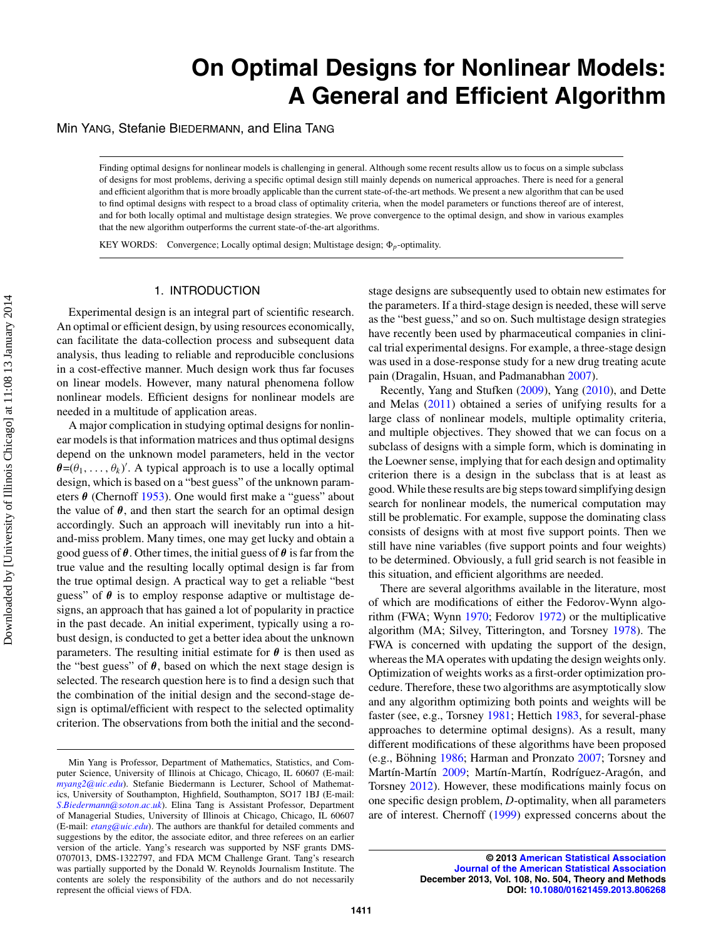# **On Optimal Designs for Nonlinear Models: A General and Efficient Algorithm**

Min YANG, Stefanie BIEDERMANN, and Elina TANG

Finding optimal designs for nonlinear models is challenging in general. Although some recent results allow us to focus on a simple subclass of designs for most problems, deriving a specific optimal design still mainly depends on numerical approaches. There is need for a general and efficient algorithm that is more broadly applicable than the current state-of-the-art methods. We present a new algorithm that can be used to find optimal designs with respect to a broad class of optimality criteria, when the model parameters or functions thereof are of interest, and for both locally optimal and multistage design strategies. We prove convergence to the optimal design, and show in various examples that the new algorithm outperforms the current state-of-the-art algorithms.

KEY WORDS: Convergence; Locally optimal design; Multistage design;  $\Phi_p$ -optimality.

#### 1. INTRODUCTION

Experimental design is an integral part of scientific research. An optimal or efficient design, by using resources economically, can facilitate the data-collection process and subsequent data analysis, thus leading to reliable and reproducible conclusions in a cost-effective manner. Much design work thus far focuses on linear models. However, many natural phenomena follow nonlinear models. Efficient designs for nonlinear models are needed in a multitude of application areas.

<span id="page-1-1"></span>A major complication in studying optimal designs for nonlinear models is that information matrices and thus optimal designs depend on the unknown model parameters, held in the vector  $\theta = (\theta_1, \dots, \theta_k)'$ . A typical approach is to use a locally optimal design, which is based on a "best guess" of the unknown parameters *θ* (Chernoff [1953\)](#page-10-0). One would first make a "guess" about the value of  $\theta$ , and then start the search for an optimal design accordingly. Such an approach will inevitably run into a hitand-miss problem. Many times, one may get lucky and obtain a good guess of *θ*. Other times, the initial guess of *θ* is far from the true value and the resulting locally optimal design is far from the true optimal design. A practical way to get a reliable "best guess" of *θ* is to employ response adaptive or multistage designs, an approach that has gained a lot of popularity in practice in the past decade. An initial experiment, typically using a robust design, is conducted to get a better idea about the unknown parameters. The resulting initial estimate for  $\theta$  is then used as the "best guess" of  $\theta$ , based on which the next stage design is selected. The research question here is to find a design such that the combination of the initial design and the second-stage design is optimal/efficient with respect to the selected optimality criterion. The observations from both the initial and the secondstage designs are subsequently used to obtain new estimates for the parameters. If a third-stage design is needed, these will serve as the "best guess," and so on. Such multistage design strategies have recently been used by pharmaceutical companies in clinical trial experimental designs. For example, a three-stage design was used in a dose-response study for a new drug treating acute pain (Dragalin, Hsuan, and Padmanabhan [2007\)](#page-10-1).

<span id="page-1-14"></span><span id="page-1-13"></span><span id="page-1-4"></span><span id="page-1-3"></span>Recently, Yang and Stufken [\(2009\)](#page-10-2), Yang [\(2010\)](#page-10-3), and Dette and Melas [\(2011\)](#page-10-4) obtained a series of unifying results for a large class of nonlinear models, multiple optimality criteria, and multiple objectives. They showed that we can focus on a subclass of designs with a simple form, which is dominating in the Loewner sense, implying that for each design and optimality criterion there is a design in the subclass that is at least as good.While these results are big steps toward simplifying design search for nonlinear models, the numerical computation may still be problematic. For example, suppose the dominating class consists of designs with at most five support points. Then we still have nine variables (five support points and four weights) to be determined. Obviously, a full grid search is not feasible in this situation, and efficient algorithms are needed.

<span id="page-1-12"></span><span id="page-1-9"></span><span id="page-1-5"></span>There are several algorithms available in the literature, most of which are modifications of either the Fedorov-Wynn algorithm (FWA; Wynn [1970;](#page-10-5) Fedorov [1972\)](#page-10-6) or the multiplicative algorithm (MA; Silvey, Titterington, and Torsney [1978\)](#page-10-7). The FWA is concerned with updating the support of the design, whereas the MA operates with updating the design weights only. Optimization of weights works as a first-order optimization procedure. Therefore, these two algorithms are asymptotically slow and any algorithm optimizing both points and weights will be faster (see, e.g., Torsney [1981;](#page-10-8) Hettich [1983,](#page-10-9) for several-phase approaches to determine optimal designs). As a result, many different modifications of these algorithms have been proposed  $(e.g., B\ddot{o})$  [1986;](#page-10-10) Harman and Pronzato [2007;](#page-10-11) Torsney and Martín-Martín [2009;](#page-10-12) Martín-Martín, Rodríguez-Aragón, and Torsney [2012\)](#page-10-13). However, these modifications mainly focus on one specific design problem, *D*-optimality, when all parameters are of interest. Chernoff [\(1999\)](#page-10-14) expressed concerns about the

Min Yang is Professor, Department of Mathematics, Statistics, and Computer Science, University of Illinois at Chicago, Chicago, IL 60607 (E-mail: *[myang2@uic.edu](mailto:myang2@uic.edu)*). Stefanie Biedermann is Lecturer, School of Mathematics, University of Southampton, Highfield, Southampton, SO17 1BJ (E-mail: *[S.Biedermann@soton.ac.uk](mailto:S.Biedermann@soton.ac.uk)*). Elina Tang is Assistant Professor, Department of Managerial Studies, University of Illinois at Chicago, Chicago, IL 60607 (E-mail: *[etang@uic.edu](mailto:etang@uic.edu)*). The authors are thankful for detailed comments and suggestions by the editor, the associate editor, and three referees on an earlier version of the article. Yang's research was supported by NSF grants DMS-0707013, DMS-1322797, and FDA MCM Challenge Grant. Tang's research was partially supported by the Donald W. Reynolds Journalism Institute. The contents are solely the responsibility of the authors and do not necessarily represent the official views of FDA.

<span id="page-1-11"></span><span id="page-1-10"></span><span id="page-1-8"></span><span id="page-1-7"></span><span id="page-1-6"></span><span id="page-1-2"></span><span id="page-1-0"></span>**<sup>© 2013</sup> [American Statistical Association](http://www.amstat.org) [Journal of the American Statistical Association](http://pubs.amstat.org/loi/jasa) December 2013, Vol. 108, No. 504, Theory and Methods DOI: [10.1080/01621459.2013.806268](http://dx.doi.org/10.1080/01621459.2013.806268)**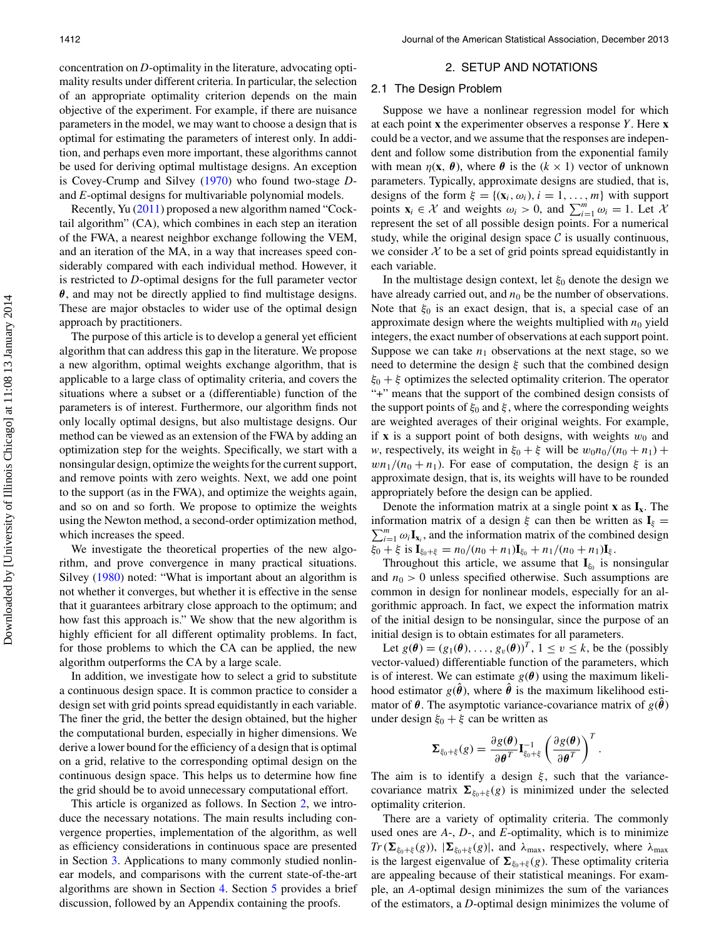concentration on *D*-optimality in the literature, advocating optimality results under different criteria. In particular, the selection of an appropriate optimality criterion depends on the main objective of the experiment. For example, if there are nuisance parameters in the model, we may want to choose a design that is optimal for estimating the parameters of interest only. In addition, and perhaps even more important, these algorithms cannot be used for deriving optimal multistage designs. An exception is Covey-Crump and Silvey [\(1970\)](#page-10-15) who found two-stage *D*and *E*-optimal designs for multivariable polynomial models.

<span id="page-2-3"></span><span id="page-2-1"></span>Recently, Yu [\(2011\)](#page-10-16) proposed a new algorithm named "Cocktail algorithm" (CA), which combines in each step an iteration of the FWA, a nearest neighbor exchange following the VEM, and an iteration of the MA, in a way that increases speed considerably compared with each individual method. However, it is restricted to *D*-optimal designs for the full parameter vector *θ*, and may not be directly applied to find multistage designs. These are major obstacles to wider use of the optimal design approach by practitioners.

The purpose of this article is to develop a general yet efficient algorithm that can address this gap in the literature. We propose a new algorithm, optimal weights exchange algorithm, that is applicable to a large class of optimality criteria, and covers the situations where a subset or a (differentiable) function of the parameters is of interest. Furthermore, our algorithm finds not only locally optimal designs, but also multistage designs. Our method can be viewed as an extension of the FWA by adding an optimization step for the weights. Specifically, we start with a nonsingular design, optimize the weights for the current support, and remove points with zero weights. Next, we add one point to the support (as in the FWA), and optimize the weights again, and so on and so forth. We propose to optimize the weights using the Newton method, a second-order optimization method, which increases the speed.

<span id="page-2-2"></span>We investigate the theoretical properties of the new algorithm, and prove convergence in many practical situations. Silvey [\(1980\)](#page-10-17) noted: "What is important about an algorithm is not whether it converges, but whether it is effective in the sense that it guarantees arbitrary close approach to the optimum; and how fast this approach is." We show that the new algorithm is highly efficient for all different optimality problems. In fact, for those problems to which the CA can be applied, the new algorithm outperforms the CA by a large scale.

In addition, we investigate how to select a grid to substitute a continuous design space. It is common practice to consider a design set with grid points spread equidistantly in each variable. The finer the grid, the better the design obtained, but the higher the computational burden, especially in higher dimensions. We derive a lower bound for the efficiency of a design that is optimal on a grid, relative to the corresponding optimal design on the continuous design space. This helps us to determine how fine the grid should be to avoid unnecessary computational effort.

This article is organized as follows. In Section [2,](#page-2-0) we introduce the necessary notations. The main results including convergence properties, implementation of the algorithm, as well as efficiency considerations in continuous space are presented in Section [3.](#page-3-0) Applications to many commonly studied nonlinear models, and comparisons with the current state-of-the-art algorithms are shown in Section [4.](#page-5-0) Section [5](#page-8-0) provides a brief discussion, followed by an Appendix containing the proofs.

#### <span id="page-2-0"></span>2. SETUP AND NOTATIONS

#### 2.1 The Design Problem

Suppose we have a nonlinear regression model for which at each point **x** the experimenter observes a response *Y*. Here **x** could be a vector, and we assume that the responses are independent and follow some distribution from the exponential family with mean  $\eta(\mathbf{x}, \theta)$ , where  $\theta$  is the  $(k \times 1)$  vector of unknown parameters. Typically, approximate designs are studied, that is, designs of the form  $\xi = \{(\mathbf{x}_i, \omega_i), i = 1, \dots, m\}$  with support points  $\mathbf{x}_i \in \mathcal{X}$  and weights  $\omega_i > 0$ , and  $\sum_{i=1}^m \omega_i = 1$ . Let  $\mathcal{X}$ represent the set of all possible design points. For a numerical study, while the original design space  $\mathcal C$  is usually continuous, we consider  $X$  to be a set of grid points spread equidistantly in each variable.

In the multistage design context, let *ξ*<sup>0</sup> denote the design we have already carried out, and  $n_0$  be the number of observations. Note that  $\xi_0$  is an exact design, that is, a special case of an approximate design where the weights multiplied with  $n_0$  yield integers, the exact number of observations at each support point. Suppose we can take  $n_1$  observations at the next stage, so we need to determine the design *ξ* such that the combined design *ξ*<sup>0</sup> + *ξ* optimizes the selected optimality criterion. The operator "+" means that the support of the combined design consists of the support points of  $\xi_0$  and  $\xi$ , where the corresponding weights are weighted averages of their original weights. For example, if **x** is a support point of both designs, with weights  $w_0$  and *w*, respectively, its weight in  $\xi_0 + \xi$  will be  $w_0 n_0/(n_0 + n_1) + \xi_0 n_0 n_0$  $w\frac{n_1}{n_0 + n_1}$ . For ease of computation, the design  $\xi$  is an approximate design, that is, its weights will have to be rounded appropriately before the design can be applied.

Denote the information matrix at a single point  $x$  as  $I_x$ . The information matrix of a design  $\xi$  can then be written as  $\mathbf{I}_{\xi} = \nabla^m$  ( $\mathbf{I}_{\xi}$  and the information matrix of the combined design  $\sum_{i=1}^{m} \omega_i \mathbf{I}_{\mathbf{x}_i}$ , and the information matrix of the combined design  $\xi_0 + \xi$  is  $\mathbf{I}_{\xi_0 + \xi} = n_0/(n_0 + n_1)\mathbf{I}_{\xi_0} + n_1/(n_0 + n_1)\mathbf{I}_{\xi}$ .

Throughout this article, we assume that  $I_{\xi_0}$  is nonsingular and  $n_0 > 0$  unless specified otherwise. Such assumptions are common in design for nonlinear models, especially for an algorithmic approach. In fact, we expect the information matrix of the initial design to be nonsingular, since the purpose of an initial design is to obtain estimates for all parameters.

Let  $g(\theta) = (g_1(\theta), \ldots, g_v(\theta))^T$ ,  $1 \le v \le k$ , be the (possibly vector-valued) differentiable function of the parameters, which is of interest. We can estimate  $g(\theta)$  using the maximum likelihood estimator  $g(\hat{\theta})$ , where  $\hat{\theta}$  is the maximum likelihood estimator of  $\theta$ . The asymptotic variance-covariance matrix of  $g(\hat{\theta})$ under design  $\xi_0 + \xi$  can be written as

$$
\mathbf{\Sigma}_{\xi_0+\xi}(g) = \frac{\partial g(\boldsymbol{\theta})}{\partial \boldsymbol{\theta}^T} \mathbf{I}_{\xi_0+\xi}^{-1} \left( \frac{\partial g(\boldsymbol{\theta})}{\partial \boldsymbol{\theta}^T} \right)^T.
$$

The aim is to identify a design *ξ* , such that the variancecovariance matrix  $\Sigma_{\xi_0+\xi}(g)$  is minimized under the selected optimality criterion.

There are a variety of optimality criteria. The commonly used ones are *A*-, *D*-, and *E*-optimality, which is to minimize *Tr*( $\sum_{\xi_0+\xi}(g)$ ),  $|\sum_{\xi_0+\xi}(g)|$ , and  $\lambda_{\max}$ , respectively, where  $\lambda_{\max}$ is the largest eigenvalue of  $\Sigma_{\xi_0+\xi}(g)$ . These optimality criteria are appealing because of their statistical meanings. For example, an *A*-optimal design minimizes the sum of the variances of the estimators, a *D*-optimal design minimizes the volume of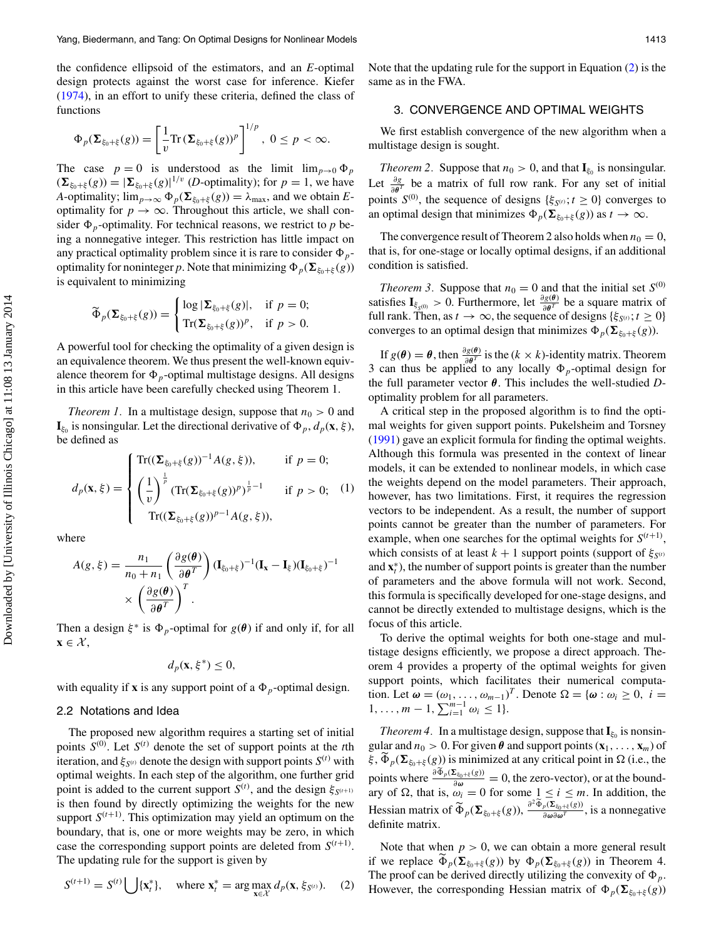the confidence ellipsoid of the estimators, and an *E*-optimal design protects against the worst case for inference. Kiefer [\(1974\)](#page-10-18), in an effort to unify these criteria, defined the class of functions

<span id="page-3-4"></span>
$$
\Phi_p(\mathbf{\Sigma}_{\xi_0+\xi}(g))=\left[\frac{1}{v}\mathrm{Tr}\left(\mathbf{\Sigma}_{\xi_0+\xi}(g)\right)^p\right]^{1/p},\ 0\leq p<\infty.
$$

The case  $p = 0$  is understood as the limit  $\lim_{p \to 0} \Phi_p$  $(\mathbf{\Sigma}_{\xi_0+\xi}(g)) = |\mathbf{\Sigma}_{\xi_0+\xi}(g)|^{1/v}$  (*D*-optimality); for  $p = 1$ , we have *A*-optimality;  $\lim_{p\to\infty} \Phi_p(\Sigma_{\xi_0+\xi}(g)) = \lambda_{\max}$ , and we obtain *E*optimality for  $p \to \infty$ . Throughout this article, we shall consider  $\Phi_p$ -optimality. For technical reasons, we restrict to p being a nonnegative integer. This restriction has little impact on any practical optimality problem since it is rare to consider  $\Phi_p$ optimality for noninteger *p*. Note that minimizing  $\Phi_p(\mathbf{\Sigma}_{\xi_0 + \xi}(g))$ is equivalent to minimizing

$$
\widetilde{\Phi}_p(\mathbf{\Sigma}_{\xi_0+\xi}(g)) = \begin{cases} \log |\mathbf{\Sigma}_{\xi_0+\xi}(g)|, & \text{if } p = 0; \\ \mathrm{Tr}(\mathbf{\Sigma}_{\xi_0+\xi}(g))^p, & \text{if } p > 0. \end{cases}
$$

A powerful tool for checking the optimality of a given design is an equivalence theorem. We thus present the well-known equivalence theorem for  $\Phi_p$ -optimal multistage designs. All designs in this article have been carefully checked using Theorem 1.

*Theorem 1.* In a multistage design, suppose that  $n_0 > 0$  and **I**<sub> $\xi_0$ </sub> is nonsingular. Let the directional derivative of  $\Phi_p$ ,  $d_p(\mathbf{x}, \xi)$ , be defined as

<span id="page-3-3"></span>
$$
d_p(\mathbf{x}, \xi) = \begin{cases} \text{Tr}((\Sigma_{\xi_0 + \xi}(g))^{-1} A(g, \xi)), & \text{if } p = 0; \\ \left(\frac{1}{v}\right)^{\frac{1}{p}} (\text{Tr}(\Sigma_{\xi_0 + \xi}(g))^p)^{\frac{1}{p} - 1} & \text{if } p > 0; \quad (1) \\ \text{Tr}((\Sigma_{\xi_0 + \xi}(g))^{p-1} A(g, \xi)), \end{cases}
$$

where

$$
A(g, \xi) = \frac{n_1}{n_0 + n_1} \left( \frac{\partial g(\boldsymbol{\theta})}{\partial \boldsymbol{\theta}^T} \right) (\mathbf{I}_{\xi_0 + \xi})^{-1} (\mathbf{I}_{\mathbf{x}} - \mathbf{I}_{\xi}) (\mathbf{I}_{\xi_0 + \xi})^{-1}
$$

$$
\times \left( \frac{\partial g(\boldsymbol{\theta})}{\partial \boldsymbol{\theta}^T} \right)^T.
$$

Then a design  $\xi^*$  is  $\Phi_p$ -optimal for  $g(\theta)$  if and only if, for all  $\mathbf{x} \in \mathcal{X},$ 

<span id="page-3-2"></span>
$$
d_p(\mathbf{x}, \xi^*) \leq 0,
$$

with equality if **x** is any support point of a  $\Phi_p$ -optimal design.

#### 2.2 Notations and Idea

The proposed new algorithm requires a starting set of initial points  $S^{(0)}$ . Let  $S^{(t)}$  denote the set of support points at the *t*th iteration, and  $\xi_{S^{(t)}}$  denote the design with support points  $S^{(t)}$  with optimal weights. In each step of the algorithm, one further grid point is added to the current support  $S^{(t)}$ , and the design  $\xi_{S^{(t+1)}}$ is then found by directly optimizing the weights for the new support  $S^{(t+1)}$ . This optimization may yield an optimum on the boundary, that is, one or more weights may be zero, in which case the corresponding support points are deleted from  $S^{(t+1)}$ . The updating rule for the support is given by

$$
S^{(t+1)} = S^{(t)} \bigcup \{ \mathbf{x}_t^* \}, \quad \text{where } \mathbf{x}_t^* = \arg \max_{\mathbf{x} \in \mathcal{X}} d_p(\mathbf{x}, \xi_{S^{(t)}}). \tag{2}
$$

Note that the updating rule for the support in Equation [\(2\)](#page-3-1) is the same as in the FWA.

#### <span id="page-3-0"></span>3. CONVERGENCE AND OPTIMAL WEIGHTS

We first establish convergence of the new algorithm when a multistage design is sought.

*Theorem 2.* Suppose that  $n_0 > 0$ , and that  $\mathbf{I}_{\xi_0}$  is nonsingular. Let  $\frac{\partial g}{\partial \theta^T}$  be a matrix of full row rank. For any set of initial points  $S^{(0)}$ , the sequence of designs  $\{\xi_{S^{(t)}}; t \ge 0\}$  converges to an optimal design that minimizes  $\Phi_p(\mathbf{\Sigma}_{\xi_0+\xi}(g))$  as  $t \to \infty$ .

The convergence result of Theorem 2 also holds when  $n_0 = 0$ , that is, for one-stage or locally optimal designs, if an additional condition is satisfied.

*Theorem 3.* Suppose that  $n_0 = 0$  and that the initial set  $S^{(0)}$ satisfies  $I_{\xi_{S^{(0)}}}>0$ . Furthermore, let  $\frac{\partial g(\theta)}{\partial \theta^T}$  be a square matrix of full rank. Then, as  $t \to \infty$ , the sequence of designs { $\xi_{S(t)}$ ;  $t \ge 0$ } converges to an optimal design that minimizes  $\Phi_p(\mathbf{\Sigma}_{\xi_0+\xi}(g))$ .

If  $g(\theta) = \theta$ , then  $\frac{\partial g(\theta)}{\partial \theta}$  is the ( $k \times k$ )-identity matrix. Theorem 3 can thus be applied to any locally  $\Phi_p$ -optimal design for the full parameter vector *θ*. This includes the well-studied *D*optimality problem for all parameters.

<span id="page-3-5"></span>A critical step in the proposed algorithm is to find the optimal weights for given support points. Pukelsheim and Torsney [\(1991\)](#page-10-19) gave an explicit formula for finding the optimal weights. Although this formula was presented in the context of linear models, it can be extended to nonlinear models, in which case the weights depend on the model parameters. Their approach, however, has two limitations. First, it requires the regression vectors to be independent. As a result, the number of support points cannot be greater than the number of parameters. For example, when one searches for the optimal weights for  $S^{(t+1)}$ , which consists of at least  $k + 1$  support points (support of  $\xi_{S^{(t)}}$ ) and  $\mathbf{x}_{t}^{*}$ ), the number of support points is greater than the number of parameters and the above formula will not work. Second, this formula is specifically developed for one-stage designs, and cannot be directly extended to multistage designs, which is the focus of this article.

To derive the optimal weights for both one-stage and multistage designs efficiently, we propose a direct approach. Theorem 4 provides a property of the optimal weights for given support points, which facilitates their numerical computation. Let  $\boldsymbol{\omega} = (\omega_1, \dots, \omega_{m-1})^T$ . Denote  $\Omega = {\boldsymbol{\omega} : \omega_i \geq 0, \ i =$  $1, \ldots, m-1, \sum_{i=1}^{m-1} \omega_i \leq 1$ .

*Theorem 4.* In a multistage design, suppose that  $\mathbf{I}_{\xi_0}$  is nonsingular and  $n_0 > 0$ . For given  $\theta$  and support points  $(\mathbf{x}_1, \dots, \mathbf{x}_m)$  of  $\zeta$ ,  $\Phi_p(\Sigma_{\xi_0+\xi}(g))$  is minimized at any critical point in  $\Omega$  (i.e., the points where  $\frac{\partial \Phi_p(\Sigma_{\xi_0+\xi}(g))}{\partial \omega} = 0$ , the zero-vector), or at the boundary of  $\Omega$ , that is,  $\omega_i = 0$  for some  $1 \leq i \leq m$ . In addition, the Hessian matrix of  $\widetilde{\Phi}_p(\Sigma_{\xi_0+\xi}(g)), \frac{\partial^2 \widetilde{\Phi}_p(\Sigma_{\xi_0+\xi}(g))}{\partial \omega \partial \omega^T}$ , is a nonnegative definite matrix.

<span id="page-3-1"></span>Note that when  $p > 0$ , we can obtain a more general result if we replace  $\Phi_p(\Sigma_{\xi_0+\xi}(g))$  by  $\Phi_p(\Sigma_{\xi_0+\xi}(g))$  in Theorem 4. The proof can be derived directly utilizing the convexity of  $\Phi_p$ . However, the corresponding Hessian matrix of  $\Phi_p(\mathbf{\Sigma}_{\xi_0+\xi}(g))$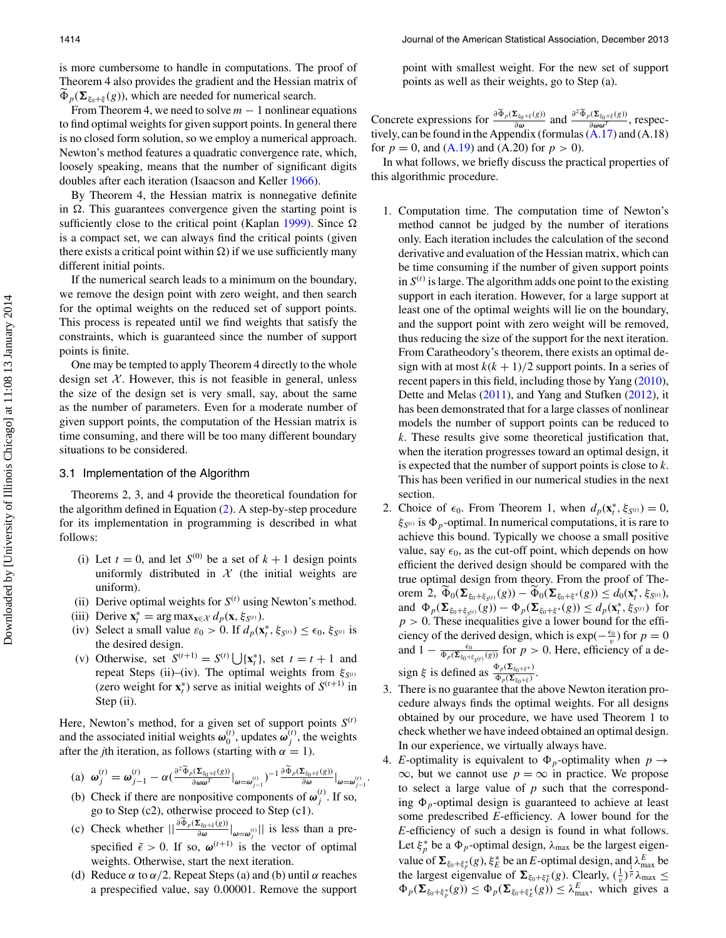is more cumbersome to handle in computations. The proof of Theorem 4 also provides the gradient and the Hessian matrix of  $\Phi_p(\Sigma_{\xi_0+\xi}(g))$ , which are needed for numerical search.

From Theorem 4, we need to solve *m* − 1 nonlinear equations to find optimal weights for given support points. In general there is no closed form solution, so we employ a numerical approach. Newton's method features a quadratic convergence rate, which, loosely speaking, means that the number of significant digits doubles after each iteration (Isaacson and Keller [1966\)](#page-10-20).

By Theorem 4, the Hessian matrix is nonnegative definite in  $\Omega$ . This guarantees convergence given the starting point is sufficiently close to the critical point (Kaplan [1999\)](#page-10-21). Since  $\Omega$ is a compact set, we can always find the critical points (given there exists a critical point within  $\Omega$ ) if we use sufficiently many different initial points.

If the numerical search leads to a minimum on the boundary, we remove the design point with zero weight, and then search for the optimal weights on the reduced set of support points. This process is repeated until we find weights that satisfy the constraints, which is guaranteed since the number of support points is finite.

One may be tempted to apply Theorem 4 directly to the whole design set  $X$ . However, this is not feasible in general, unless the size of the design set is very small, say, about the same as the number of parameters. Even for a moderate number of given support points, the computation of the Hessian matrix is time consuming, and there will be too many different boundary situations to be considered.

#### 3.1 Implementation of the Algorithm

Theorems 2, 3, and 4 provide the theoretical foundation for the algorithm defined in Equation [\(2\)](#page-3-1). A step-by-step procedure for its implementation in programming is described in what follows:

- (i) Let  $t = 0$ , and let  $S^{(0)}$  be a set of  $k + 1$  design points uniformly distributed in  $X$  (the initial weights are uniform).
- (ii) Derive optimal weights for  $S^{(t)}$  using Newton's method.
- (iii) Derive  $\mathbf{x}_t^* = \arg \max_{\mathbf{x} \in \mathcal{X}} d_p(\mathbf{x}, \xi_{S^{(t)}}).$
- (iv) Select a small value  $\varepsilon_0 > 0$ . If  $d_p(\mathbf{x}_t^*, \xi_{S^{(t)}}) \le \epsilon_0, \xi_{S^{(t)}}$  is the desired design.
- (v) Otherwise, set  $S^{(t+1)} = S^{(t)} \cup \{x_t^*\}$ , set  $t = t + 1$  and repeat Steps (ii)–(iv). The optimal weights from  $ξ<sub>S</sub>(*t*)$ (zero weight for  $\mathbf{x}_t^*$ ) serve as initial weights of  $S^{(t+1)}$  in Step (ii).

Here, Newton's method, for a given set of support points  $S^{(t)}$ and the associated initial weights  $\omega_0^{(t)}$ , updates  $\omega_j^{(t)}$ , the weights after the *j*th iteration, as follows (starting with  $\alpha = 1$ ).

(a) 
$$
\omega_j^{(t)} = \omega_{j-1}^{(t)} - \alpha \left( \frac{\partial^2 \widetilde{\Phi}_p(\Sigma_{\xi_0 + \xi}(g))}{\partial \omega \omega^T} \big|_{\omega = \omega_{j-1}^{(t)}} \right)^{-1} \frac{\partial \widetilde{\Phi}_p(\Sigma_{\xi_0 + \xi}(g))}{\partial \omega} \big|_{\omega = \omega_{j-1}^{(t)}}.
$$

- (b) Check if there are nonpositive components of  $\omega_j^{(t)}$ . If so, go to Step (c2), otherwise proceed to Step (c1).
- (c) Check whether  $||\frac{\partial \Phi_p(\Sigma_{\xi_0+\xi}(g))}{\partial \omega}||_{\omega=\omega_j^{(t)}}||$  is less than a prespecified  $\tilde{\epsilon} > 0$ . If so,  $\omega^{(t+1)}$  is the vector of optimal weights. Otherwise, start the next iteration.
- (d) Reduce *α* to *α/*2. Repeat Steps (a) and (b) until *α* reaches a prespecified value, say 0*.*00001. Remove the support

point with smallest weight. For the new set of support points as well as their weights, go to Step (a).

Concrete expressions for  $\frac{\partial \widetilde{\Phi}_p(\mathbf{\Sigma}_{\xi_0+\xi}(g))}{\partial \omega}$  and  $\frac{\partial^2 \widetilde{\Phi}_p(\mathbf{\Sigma}_{\xi_0+\xi}(g))}{\partial \omega \omega^T}$ , respectively, can be found in the Appendix (formulas  $(A.17)$  and  $(A.18)$ ) for  $p = 0$ , and  $(A.19)$  and  $(A.20)$  for  $p > 0$ ).

<span id="page-4-1"></span>In what follows, we briefly discuss the practical properties of this algorithmic procedure.

- <span id="page-4-2"></span>1. Computation time. The computation time of Newton's method cannot be judged by the number of iterations only. Each iteration includes the calculation of the second derivative and evaluation of the Hessian matrix, which can be time consuming if the number of given support points in  $S^{(t)}$  is large. The algorithm adds one point to the existing support in each iteration. However, for a large support at least one of the optimal weights will lie on the boundary, and the support point with zero weight will be removed, thus reducing the size of the support for the next iteration. From Caratheodory's theorem, there exists an optimal design with at most  $k(k + 1)/2$  support points. In a series of recent papers in this field, including those by Yang [\(2010\)](#page-10-3), Dette and Melas [\(2011\)](#page-10-4), and Yang and Stufken [\(2012\)](#page-10-22), it has been demonstrated that for a large classes of nonlinear models the number of support points can be reduced to *k*. These results give some theoretical justification that, when the iteration progresses toward an optimal design, it is expected that the number of support points is close to *k*. This has been verified in our numerical studies in the next section.
- <span id="page-4-4"></span><span id="page-4-3"></span><span id="page-4-0"></span>2. Choice of  $\epsilon_0$ . From Theorem 1, when  $d_p(\mathbf{x}_t^*, \xi_{S^{(t)}}) = 0$ ,  $\xi_{S^{(t)}}$  is  $\Phi_p$ -optimal. In numerical computations, it is rare to achieve this bound. Typically we choose a small positive value, say  $\epsilon_0$ , as the cut-off point, which depends on how efficient the derived design should be compared with the true optimal design from theory. From the proof of Theorem 2,  $\widetilde{\Phi}_0(\Sigma_{\xi_0+\xi_0}(\mathbf{g})) - \widetilde{\Phi}_0(\Sigma_{\xi_0+\xi^*}(\mathbf{g})) \leq d_0(\mathbf{x}_t^*, \xi_{\mathbf{S}^{(t)}})$ and  $\Phi_p(\Sigma_{\xi_0+\xi_{S^{(t)}}}(g)) - \Phi_p(\Sigma_{\xi_0+\xi^*}(g)) \le d_p(x_t^*, \xi_{S^{(t)}})$  for *p >* 0. These inequalities give a lower bound for the efficiency of the derived design, which is  $exp(-\frac{\epsilon_0}{v})$  for  $p = 0$ and  $1 - \frac{\epsilon_0}{\Phi_p(\Sigma_{\xi_0+\xi_{\zeta(t)}}(g))}$  for  $p > 0$ . Here, efficiency of a design  $\xi$  is defined as  $\frac{\Phi_p(\Sigma_{\xi_0+\xi^*})}{\Phi_p(\Sigma_{\xi_0+\xi})}$ .
- 3. There is no guarantee that the above Newton iteration procedure always finds the optimal weights. For all designs obtained by our procedure, we have used Theorem 1 to check whether we have indeed obtained an optimal design. In our experience, we virtually always have.
- 4. *E*-optimality is equivalent to  $\Phi_p$ -optimality when  $p \rightarrow$  $\infty$ , but we cannot use  $p = \infty$  in practice. We propose to select a large value of *p* such that the corresponding  $\Phi_p$ -optimal design is guaranteed to achieve at least some predescribed *E*-efficiency. A lower bound for the *E*-efficiency of such a design is found in what follows. Let  $\xi_p^*$  be a  $\Phi_p$ -optimal design,  $\lambda_{\text{max}}$  be the largest eigenvalue of  $\Sigma_{\xi_0 + \xi_p^*}(g)$ ,  $\xi_E^*$  be an *E*-optimal design, and  $\lambda_{\max}^E$  be the largest eigenvalue of  $\Sigma_{\xi_0+\xi_E^*}(g)$ . Clearly,  $(\frac{1}{v})^{\frac{1}{p}}\lambda_{\max}$  $\Phi_p(\Sigma_{\xi_0+\xi_p^*}(g)) \leq \Phi_p(\Sigma_{\xi_0+\xi_E^*}(g)) \leq \lambda_{\max}^E$ , which gives a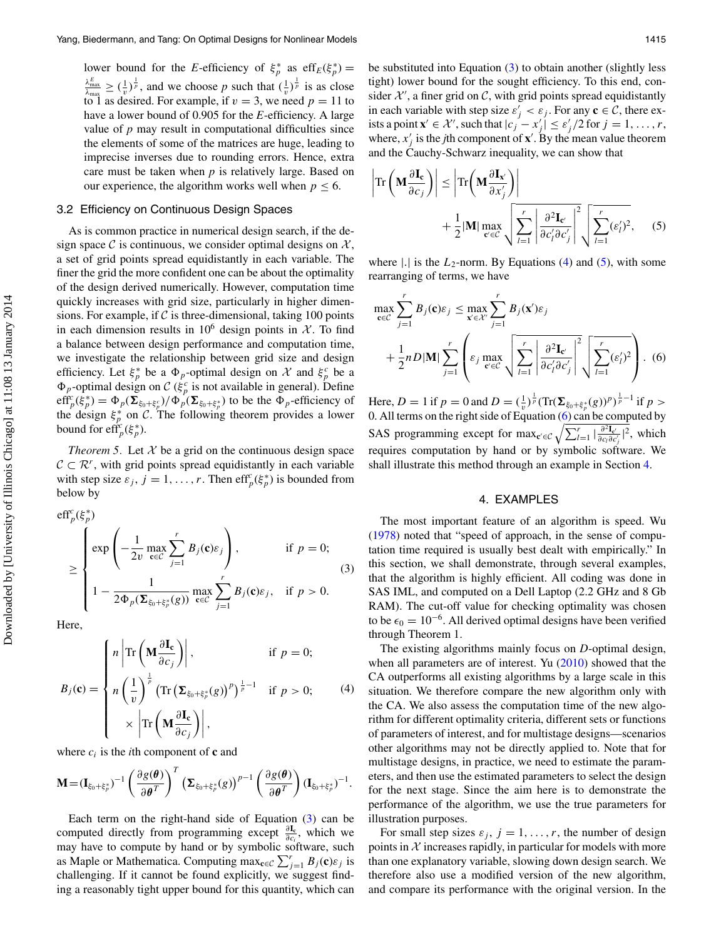lower bound for the *E*-efficiency of  $\xi_p^*$  as  $\text{eff}_E(\xi_p^*)$  =  $\frac{\lambda_{\text{max}}^E}{\lambda_{\text{max}}} \ge (\frac{1}{v})^{\frac{1}{p}}$ , and we choose *p* such that  $(\frac{1}{v})^{\frac{1}{p}}$  is as close to 1 as desired. For example, if  $v = 3$ , we need  $p = 11$  to have a lower bound of 0.905 for the *E*-efficiency. A large value of  $p$  may result in computational difficulties since the elements of some of the matrices are huge, leading to imprecise inverses due to rounding errors. Hence, extra care must be taken when *p* is relatively large. Based on our experience, the algorithm works well when  $p \leq 6$ .

#### 3.2 Efficiency on Continuous Design Spaces

As is common practice in numerical design search, if the design space C is continuous, we consider optimal designs on  $X$ , a set of grid points spread equidistantly in each variable. The finer the grid the more confident one can be about the optimality of the design derived numerically. However, computation time quickly increases with grid size, particularly in higher dimensions. For example, if  $C$  is three-dimensional, taking 100 points in each dimension results in  $10^6$  design points in X. To find a balance between design performance and computation time, we investigate the relationship between grid size and design efficiency. Let  $\xi_p^*$  be a  $\Phi_p$ -optimal design on X and  $\xi_p^c$  be a  $\Phi_p$ -optimal design on C ( $\xi_p^c$  is not available in general). Define  $\mathrm{eff}^c_p(\xi_p^*) = \Phi_p(\Sigma_{\xi_0 + \xi_p^c}) / \Phi_p(\Sigma_{\xi_0 + \xi_p^*})$  to be the  $\Phi_p$ -efficiency of the design  $\xi_p^*$  on C. The following theorem provides a lower bound for  $\operatorname{eff}^c_p(\xi_p^*)$ .

*Theorem 5.* Let  $X$  be a grid on the continuous design space  $C \subset \mathcal{R}^r$ , with grid points spread equidistantly in each variable with step size  $\varepsilon_j$ ,  $j = 1, ..., r$ . Then eff<sup>c</sup><sub>*p*</sub>( $\xi^*_p$ ) is bounded from below by

<span id="page-5-1"></span>
$$
\geq \begin{cases}\n\exp\left(-\frac{1}{2v}\max_{\mathbf{c}\in\mathcal{C}}\sum_{j=1}^{r}B_j(\mathbf{c})\varepsilon_j\right), & \text{if } p=0; \\
1 - \frac{1}{2\Phi_p(\mathbf{\Sigma}_{\xi_0 + \xi_p^*}(g))}\max_{\mathbf{c}\in\mathcal{C}}\sum_{j=1}^{r}B_j(\mathbf{c})\varepsilon_j, & \text{if } p>0.\n\end{cases}
$$
\n(3)

Here,

<span id="page-5-2"></span>
$$
B_j(\mathbf{c}) = \begin{cases} n \left| \text{Tr} \left( \mathbf{M} \frac{\partial \mathbf{I_c}}{\partial c_j} \right) \right|, & \text{if } p = 0; \\ n \left( \frac{1}{v} \right)^{\frac{1}{p}} \left( \text{Tr} \left( \mathbf{\Sigma}_{\xi_0 + \xi_p^*}(g) \right)^p \right)^{\frac{1}{p} - 1} & \text{if } p > 0; \\ \times \left| \text{Tr} \left( \mathbf{M} \frac{\partial \mathbf{I_c}}{\partial c_j} \right) \right|, \end{cases}
$$
 (4)

where  $c_i$  is the *i*th component of **c** and

$$
\mathbf{M} = (\mathbf{I}_{\xi_0 + \xi_p^*})^{-1} \left(\frac{\partial g(\boldsymbol{\theta})}{\partial \boldsymbol{\theta}^T}\right)^T \left(\boldsymbol{\Sigma}_{\xi_0 + \xi_p^*}(g)\right)^{p-1} \left(\frac{\partial g(\boldsymbol{\theta})}{\partial \boldsymbol{\theta}^T}\right) (\mathbf{I}_{\xi_0 + \xi_p^*})^{-1}.
$$

Each term on the right-hand side of Equation [\(3\)](#page-5-1) can be computed directly from programming except *<sup>∂</sup>***Ic** *∂ci* , which we may have to compute by hand or by symbolic software, such as Maple or Mathematica. Computing  $\max_{\mathbf{c} \in \mathcal{C}} \sum_{j=1}^{r} B_j(\mathbf{c}) \varepsilon_j$  is challenging. If it cannot be found explicitly, we suggest finding a reasonably tight upper bound for this quantity, which can

be substituted into Equation [\(3\)](#page-5-1) to obtain another (slightly less tight) lower bound for the sought efficiency. To this end, consider  $X'$ , a finer grid on  $C$ , with grid points spread equidistantly in each variable with step size  $\varepsilon'_j < \varepsilon_j$ . For any  $\mathbf{c} \in \mathcal{C}$ , there exists a point  $\mathbf{x}' \in \mathcal{X}'$ , such that  $|c_j - x'_j| \le \varepsilon'_j/2$  for  $j = 1, \ldots, r$ , where,  $x'_j$  is the *j*th component of **x**'. By the mean value theorem and the Cauchy-Schwarz inequality, we can show that

<span id="page-5-3"></span>
$$
\left| \operatorname{Tr} \left( \mathbf{M} \frac{\partial \mathbf{I}_{\mathbf{c}}}{\partial c_j} \right) \right| \leq \left| \operatorname{Tr} \left( \mathbf{M} \frac{\partial \mathbf{I}_{\mathbf{x}'}}{\partial x'_j} \right) \right| + \frac{1}{2} |\mathbf{M}| \max_{\mathbf{c}' \in \mathcal{C}} \sqrt{\sum_{l=1}^r \left| \frac{\partial^2 \mathbf{I}_{\mathbf{c}'}}{\partial c'_l \partial c'_j} \right|^2} \sqrt{\sum_{l=1}^r (\varepsilon'_l)^2}, \quad (5)
$$

where  $|.|$  is the  $L_2$ -norm. By Equations [\(4\)](#page-5-2) and [\(5\)](#page-5-3), with some rearranging of terms, we have

<span id="page-5-4"></span>
$$
\max_{\mathbf{c}\in\mathcal{C}} \sum_{j=1}^{r} B_j(\mathbf{c})\varepsilon_j \le \max_{\mathbf{x}'\in\mathcal{X}'} \sum_{j=1}^{r} B_j(\mathbf{x}')\varepsilon_j
$$
  
+  $\frac{1}{2}nD|\mathbf{M}| \sum_{j=1}^{r} \left( \varepsilon_j \max_{\mathbf{c}'\in\mathcal{C}} \sqrt{\sum_{l=1}^{r} \left| \frac{\partial^2 \mathbf{I}_{\mathbf{c}'}}{\partial c'_i \partial c'_j} \right|^2} \sqrt{\sum_{l=1}^{r} (\varepsilon'_l)^2} \right).$  (6)

Here,  $D = 1$  if  $p = 0$  and  $D = (\frac{1}{v})^{\frac{1}{p}} (\text{Tr}(\mathbf{\Sigma}_{\xi_0 + \xi_p^*}(g))^p)^{\frac{1}{p}-1}$  if  $p >$ 0. All terms on the right side of Equation [\(6\)](#page-5-4) can be computed by SAS programming except for max $c \in \sqrt{\sum_{l=1}^{r} |\frac{\partial^2 \mathbf{I}_{c'}}{\partial c_l \partial c'_j}|^2}$ , which requires computation by hand or by symbolic software. We shall illustrate this method through an example in Section [4.](#page-5-0)

#### <span id="page-5-6"></span><span id="page-5-0"></span>4. EXAMPLES

<span id="page-5-5"></span>The most important feature of an algorithm is speed. Wu [\(1978\)](#page-10-23) noted that "speed of approach, in the sense of computation time required is usually best dealt with empirically." In this section, we shall demonstrate, through several examples, that the algorithm is highly efficient. All coding was done in SAS IML, and computed on a Dell Laptop (2.2 GHz and 8 Gb RAM). The cut-off value for checking optimality was chosen to be  $\epsilon_0 = 10^{-6}$ . All derived optimal designs have been verified through Theorem 1.

The existing algorithms mainly focus on *D*-optimal design, when all parameters are of interest. Yu [\(2010\)](#page-10-24) showed that the CA outperforms all existing algorithms by a large scale in this situation. We therefore compare the new algorithm only with the CA. We also assess the computation time of the new algorithm for different optimality criteria, different sets or functions of parameters of interest, and for multistage designs—scenarios other algorithms may not be directly applied to. Note that for multistage designs, in practice, we need to estimate the parameters, and then use the estimated parameters to select the design for the next stage. Since the aim here is to demonstrate the performance of the algorithm, we use the true parameters for illustration purposes.

For small step sizes  $\varepsilon_j$ ,  $j = 1, \ldots, r$ , the number of design points in  $X$  increases rapidly, in particular for models with more than one explanatory variable, slowing down design search. We therefore also use a modified version of the new algorithm, and compare its performance with the original version. In the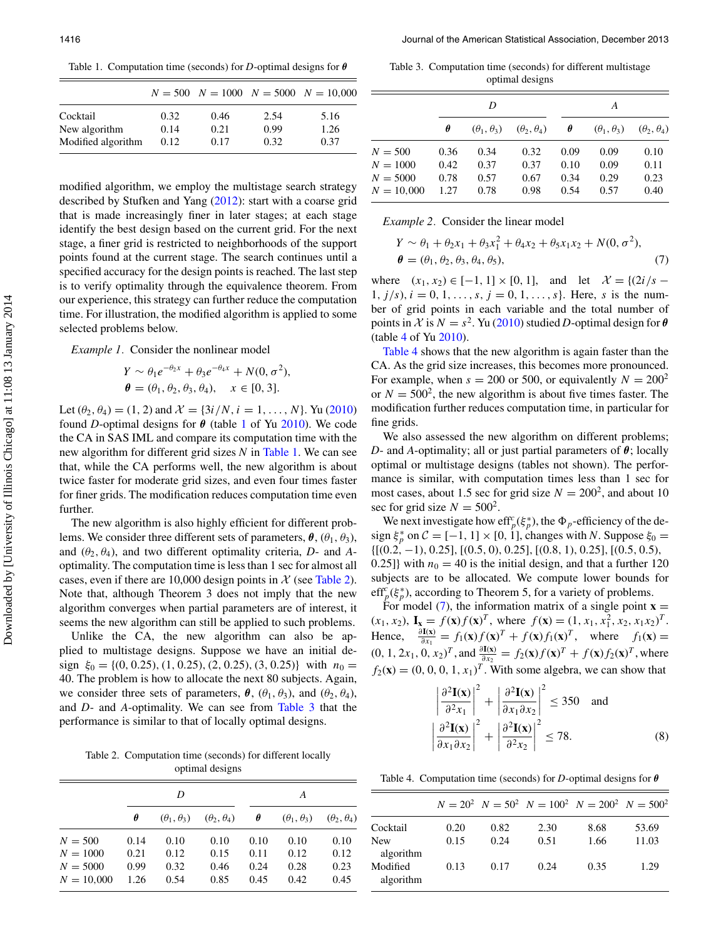<span id="page-6-0"></span>Table 1. Computation time (seconds) for *D*-optimal designs for *θ*

|                    |      |      |      | $N = 500$ $N = 1000$ $N = 5000$ $N = 10,000$ |
|--------------------|------|------|------|----------------------------------------------|
| Cocktail           | 0.32 | 0.46 | 2.54 | 5.16                                         |
| New algorithm      | 0.14 | 0.21 | 0.99 | 1.26                                         |
| Modified algorithm | 0.12 | 0.17 | 0.32 | 0.37                                         |

<span id="page-6-6"></span>modified algorithm, we employ the multistage search strategy described by Stufken and Yang [\(2012\)](#page-10-25): start with a coarse grid that is made increasingly finer in later stages; at each stage identify the best design based on the current grid. For the next stage, a finer grid is restricted to neighborhoods of the support points found at the current stage. The search continues until a specified accuracy for the design points is reached. The last step is to verify optimality through the equivalence theorem. From our experience, this strategy can further reduce the computation time. For illustration, the modified algorithm is applied to some selected problems below.

*Example 1.* Consider the nonlinear model

$$
Y \sim \theta_1 e^{-\theta_2 x} + \theta_3 e^{-\theta_4 x} + N(0, \sigma^2),
$$
  

$$
\theta = (\theta_1, \theta_2, \theta_3, \theta_4), \quad x \in [0, 3].
$$

Let  $(\theta_2, \theta_4) = (1, 2)$  and  $\mathcal{X} = \{3i/N, i = 1, ..., N\}$ . Yu [\(2010\)](#page-10-24) found *D*-optimal designs for  $\theta$  (table [1](#page-6-0) of Yu [2010\)](#page-10-24). We code the CA in SAS IML and compare its computation time with the new algorithm for different grid sizes *N* in [Table 1.](#page-6-0) We can see that, while the CA performs well, the new algorithm is about twice faster for moderate grid sizes, and even four times faster for finer grids. The modification reduces computation time even further.

The new algorithm is also highly efficient for different problems. We consider three different sets of parameters,  $\theta$ , ( $\theta$ <sub>1</sub>,  $\theta$ <sub>3</sub>), and  $(\theta_2, \theta_4)$ , and two different optimality criteria, *D*- and *A*optimality. The computation time is less than 1 sec for almost all cases, even if there are 10,000 design points in  $\mathcal{X}$  (see [Table 2\)](#page-6-1). Note that, although Theorem 3 does not imply that the new algorithm converges when partial parameters are of interest, it seems the new algorithm can still be applied to such problems.

Unlike the CA, the new algorithm can also be applied to multistage designs. Suppose we have an initial design *ξ*<sup>0</sup> = {(0*,* 0*.*25)*,*(1*,* 0*.*25)*,*(2*,* 0*.*25)*,*(3*,* 0*.*25)} with *n*<sup>0</sup> = 40. The problem is how to allocate the next 80 subjects. Again, we consider three sets of parameters,  $\theta$ ,  $(\theta_1, \theta_3)$ , and  $(\theta_2, \theta_4)$ , and *D*- and *A*-optimality. We can see from [Table 3](#page-6-2) that the performance is similar to that of locally optimal designs.

Table 2. Computation time (seconds) for different locally optimal designs

<span id="page-6-1"></span>

|              | D    |                        |                        | A        |                        |                        |
|--------------|------|------------------------|------------------------|----------|------------------------|------------------------|
|              | θ    | $(\theta_1, \theta_3)$ | $(\theta_2, \theta_4)$ | $\theta$ | $(\theta_1, \theta_3)$ | $(\theta_2, \theta_4)$ |
| $N = 500$    | 0.14 | 0.10                   | 0.10                   | 0.10     | 0.10                   | 0.10                   |
| $N = 1000$   | 0.21 | 0.12                   | 0.15                   | 0.11     | 0.12                   | 0.12                   |
| $N = 5000$   | 0.99 | 0.32                   | 0.46                   | 0.24     | 0.28                   | 0.23                   |
| $N = 10,000$ | 1.26 | 0.54                   | 0.85                   | 0.45     | 0.42                   | 0.45                   |

<span id="page-6-2"></span>Table 3. Computation time (seconds) for different multistage optimal designs

|              | D    |                        |                        | А        |                        |                        |
|--------------|------|------------------------|------------------------|----------|------------------------|------------------------|
|              | θ    | $(\theta_1, \theta_3)$ | $(\theta_2, \theta_4)$ | $\theta$ | $(\theta_1, \theta_3)$ | $(\theta_2, \theta_4)$ |
| $N = 500$    | 0.36 | 0.34                   | 0.32                   | 0.09     | 0.09                   | 0.10                   |
| $N = 1000$   | 0.42 | 0.37                   | 0.37                   | 0.10     | 0.09                   | 0.11                   |
| $N = 5000$   | 0.78 | 0.57                   | 0.67                   | 0.34     | 0.29                   | 0.23                   |
| $N = 10,000$ | 1.27 | 0.78                   | 0.98                   | 0.54     | 0.57                   | 0.40                   |

*Example 2.* Consider the linear model

<span id="page-6-4"></span>
$$
Y \sim \theta_1 + \theta_2 x_1 + \theta_3 x_1^2 + \theta_4 x_2 + \theta_5 x_1 x_2 + N(0, \sigma^2),
$$
  
\n
$$
\theta = (\theta_1, \theta_2, \theta_3, \theta_4, \theta_5),
$$
\n(7)

where  $(x_1, x_2) \in [-1, 1] \times [0, 1]$ , and let  $\mathcal{X} = \{(2i/s -$ 1,  $j/s$ ,  $i = 0, 1, \ldots, s$ ,  $j = 0, 1, \ldots, s$ . Here, *s* is the number of grid points in each variable and the total number of points in X is  $N = s^2$ . Yu [\(2010\)](#page-10-24) studied D-optimal design for  $\theta$ (table [4](#page-6-3) of Yu [2010\)](#page-10-24).

[Table 4](#page-6-3) shows that the new algorithm is again faster than the CA. As the grid size increases, this becomes more pronounced. For example, when  $s = 200$  or 500, or equivalently  $N = 200^2$ or  $N = 500^2$ , the new algorithm is about five times faster. The modification further reduces computation time, in particular for fine grids.

<span id="page-6-7"></span>We also assessed the new algorithm on different problems; *D*- and *A*-optimality; all or just partial parameters of *θ*; locally optimal or multistage designs (tables not shown). The performance is similar, with computation times less than 1 sec for most cases, about 1.5 sec for grid size  $N = 200^2$ , and about 10 sec for grid size  $N = 500^2$ .

We next investigate how eff<sup>c</sup><sub>p</sub>( $\xi_p^*$ ), the  $\Phi_p$ -efficiency of the de- $\sin \xi_p^*$  on  $C = [-1, 1] \times [0, 1]$ , changes with *N*. Suppose  $\xi_0 =$ {[(0*.*2*,* −1)*,* 0*.*25]*,*[(0*.*5*,* 0)*,* 0*.*25]*,*[(0*.*8*,* 1)*,* 0*.*25]*,*[(0*.*5*,* 0*.*5)*,* 0.25]} with  $n_0 = 40$  is the initial design, and that a further 120 subjects are to be allocated. We compute lower bounds for eff<sup>c</sup><sub>*p*</sub>( $\xi_p^*$ ), according to Theorem 5, for a variety of problems.

For model  $(7)$ , the information matrix of a single point  $\mathbf{x} =$  $(x_1, x_2)$ ,  $\mathbf{I}_x = f(x)f(x)^T$ , where  $f(x) = (1, x_1, x_1^2, x_2, x_1x_2)^T$ . Hence,  $\frac{\partial \mathbf{I}(\mathbf{x})}{\partial x_1} = f_1(\mathbf{x}) f(\mathbf{x})^T + f(\mathbf{x}) f_1(\mathbf{x})^T$ , where  $f_1(\mathbf{x}) =$  $(0, 1, 2x_1, 0, x_2)^T$ , and  $\frac{\partial f(x)}{\partial x_2} = f_2(x)f(x)^T + f(x)f_2(x)^T$ , where  $f_2(\mathbf{x}) = (0, 0, 0, 1, x_1)^T$ . With some algebra, we can show that

<span id="page-6-5"></span>
$$
\left| \frac{\partial^2 \mathbf{I}(\mathbf{x})}{\partial^2 x_1} \right|^2 + \left| \frac{\partial^2 \mathbf{I}(\mathbf{x})}{\partial x_1 \partial x_2} \right|^2 \le 350 \text{ and}
$$
  

$$
\left| \frac{\partial^2 \mathbf{I}(\mathbf{x})}{\partial x_1 \partial x_2} \right|^2 + \left| \frac{\partial^2 \mathbf{I}(\mathbf{x})}{\partial^2 x_2} \right|^2 \le 78.
$$
 (8)

<span id="page-6-3"></span>Table 4. Computation time (seconds) for *D*-optimal designs for *θ*

|                         |      |      | $N = 20^2$ $N = 50^2$ $N = 100^2$ $N = 200^2$ $N = 500^2$ |      |       |
|-------------------------|------|------|-----------------------------------------------------------|------|-------|
| Cocktail                | 0.20 | 0.82 | 2.30                                                      | 8.68 | 53.69 |
| <b>New</b><br>algorithm | 0.15 | 0.24 | 0.51                                                      | 1.66 | 11.03 |
| Modified<br>algorithm   | 0.13 | 0.17 | 0.24                                                      | 0.35 | 1.29  |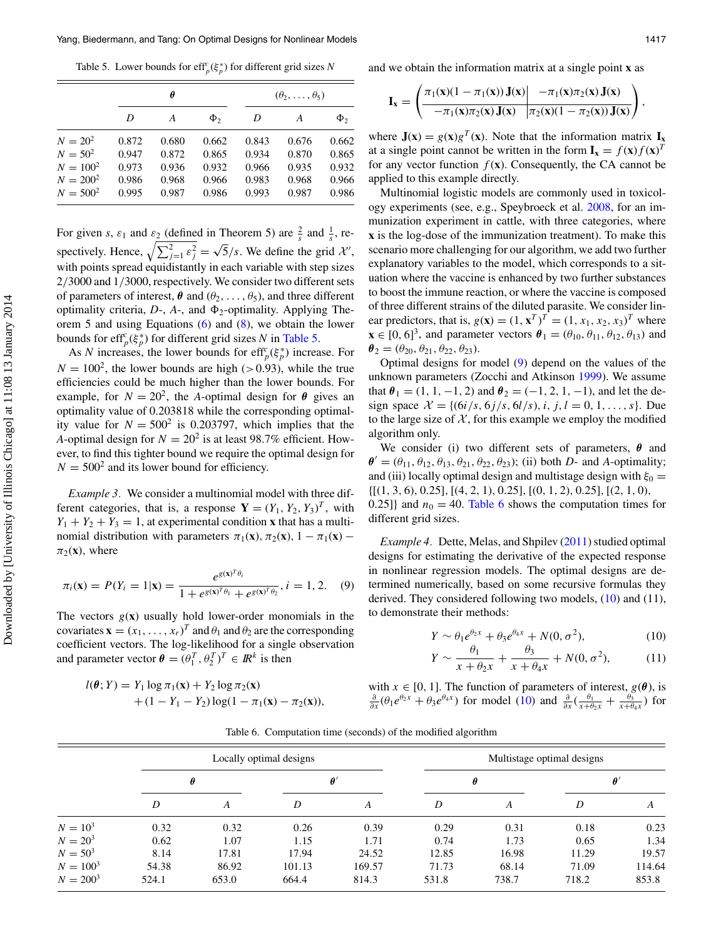<span id="page-7-0"></span>Table 5. Lower bounds for eff<sup>*c*</sup><sub>*p*</sub>( $\xi_p^*$ ) for different grid sizes *N* 

|             |       | θ     |                     |       | $(\theta_2, \ldots, \theta_5)$ |                     |  |  |
|-------------|-------|-------|---------------------|-------|--------------------------------|---------------------|--|--|
|             | D     | A     | $\Phi$ <sub>2</sub> | D     | A                              | $\Phi$ <sub>2</sub> |  |  |
| $N = 20^2$  | 0.872 | 0.680 | 0.662               | 0.843 | 0.676                          | 0.662               |  |  |
| $N = 50^2$  | 0.947 | 0.872 | 0.865               | 0.934 | 0.870                          | 0.865               |  |  |
| $N = 100^2$ | 0.973 | 0.936 | 0.932               | 0.966 | 0.935                          | 0.932               |  |  |
| $N = 200^2$ | 0.986 | 0.968 | 0.966               | 0.983 | 0.968                          | 0.966               |  |  |
| $N = 500^2$ | 0.995 | 0.987 | 0.986               | 0.993 | 0.987                          | 0.986               |  |  |

For given *s*,  $\varepsilon_1$  and  $\varepsilon_2$  (defined in Theorem 5) are  $\frac{2}{s}$  and  $\frac{1}{s}$ , respectively. Hence,  $\sqrt{\sum_{j=1}^{2} \varepsilon_{j}^{2}} = \sqrt{5}/s$ . We define the grid X', with points spread equidistantly in each variable with step sizes 2*/*3000 and 1*/*3000, respectively. We consider two different sets of parameters of interest,  $\theta$  and  $(\theta_2, \ldots, \theta_5)$ , and three different optimality criteria, D-, A-, and  $\Phi_2$ -optimality. Applying Theorem 5 and using Equations [\(6\)](#page-5-4) and [\(8\)](#page-6-5), we obtain the lower bounds for eff<sup>c</sup><sub>p</sub>( $\xi_p^*$ ) for different grid sizes *N* in [Table 5.](#page-7-0)

As *N* increases, the lower bounds for eff $_p^c(\xi_p^*)$  increase. For  $N = 100^2$ , the lower bounds are high ( $> 0.93$ ), while the true efficiencies could be much higher than the lower bounds. For example, for  $N = 20^2$ , the *A*-optimal design for  $\theta$  gives an optimality value of 0.203818 while the corresponding optimality value for  $N = 500^2$  is 0.203797, which implies that the *A*-optimal design for  $N = 20^2$  is at least 98.7% efficient. However, to find this tighter bound we require the optimal design for  $N = 500<sup>2</sup>$  and its lower bound for efficiency.

*Example 3.* We consider a multinomial model with three different categories, that is, a response  $\mathbf{Y} = (Y_1, Y_2, Y_3)^T$ , with  $Y_1 + Y_2 + Y_3 = 1$ , at experimental condition **x** that has a multinomial distribution with parameters  $\pi_1(\mathbf{x})$ ,  $\pi_2(\mathbf{x})$ ,  $1 - \pi_1(\mathbf{x})$  –  $\pi_2(\mathbf{x})$ *,* where

<span id="page-7-1"></span>
$$
\pi_i(\mathbf{x}) = P(Y_i = 1 | \mathbf{x}) = \frac{e^{g(\mathbf{x})^T \theta_i}}{1 + e^{g(\mathbf{x})^T \theta_1} + e^{g(\mathbf{x})^T \theta_2}}, i = 1, 2.
$$
 (9)

The vectors  $g(x)$  usually hold lower-order monomials in the covariates  $\mathbf{x} = (x_1, \dots, x_r)^T$  and  $\theta_1$  and  $\theta_2$  are the corresponding coefficient vectors. The log-likelihood for a single observation and parameter vector  $\boldsymbol{\theta} = (\theta_1^T, \theta_2^T)^T \in \mathbb{R}^k$  is then

$$
l(\theta; Y) = Y_1 \log \pi_1(\mathbf{x}) + Y_2 \log \pi_2(\mathbf{x}) + (1 - Y_1 - Y_2) \log(1 - \pi_1(\mathbf{x}) - \pi_2(\mathbf{x})),
$$

and we obtain the information matrix at a single point **x** as

$$
\mathbf{I}_{\mathbf{x}} = \begin{pmatrix} \pi_1(\mathbf{x})(1-\pi_1(\mathbf{x}))\mathbf{J}(\mathbf{x}) & -\pi_1(\mathbf{x})\pi_2(\mathbf{x})\mathbf{J}(\mathbf{x}) \\ -\pi_1(\mathbf{x})\pi_2(\mathbf{x})\mathbf{J}(\mathbf{x}) & \pi_2(\mathbf{x})(1-\pi_2(\mathbf{x}))\mathbf{J}(\mathbf{x}) \end{pmatrix}
$$

where  $\mathbf{J}(\mathbf{x}) = g(\mathbf{x})g^T(\mathbf{x})$ . Note that the information matrix  $\mathbf{I}_{\mathbf{x}}$ at a single point cannot be written in the form  $\mathbf{I}_x = f(\mathbf{x})f(\mathbf{x})^T$ for any vector function  $f(\mathbf{x})$ . Consequently, the CA cannot be applied to this example directly.

Multinomial logistic models are commonly used in toxicology experiments (see, e.g., Speybroeck et al. [2008,](#page-10-26) for an immunization experiment in cattle, with three categories, where **x** is the log-dose of the immunization treatment). To make this scenario more challenging for our algorithm, we add two further explanatory variables to the model, which corresponds to a situation where the vaccine is enhanced by two further substances to boost the immune reaction, or where the vaccine is composed of three different strains of the diluted parasite. We consider linear predictors, that is,  $g(\mathbf{x}) = (1, \mathbf{x}^T)^T = (1, x_1, x_2, x_3)^T$  where  $\mathbf{x} \in [0, 6]^3$ , and parameter vectors  $\boldsymbol{\theta}_1 = (\theta_{10}, \theta_{11}, \theta_{12}, \theta_{13})$  and  $\theta_2 = (\theta_{20}, \theta_{21}, \theta_{22}, \theta_{23}).$ 

<span id="page-7-6"></span>Optimal designs for model [\(9\)](#page-7-1) depend on the values of the unknown parameters (Zocchi and Atkinson [1999\)](#page-10-27). We assume that  $\theta_1 = (1, 1, -1, 2)$  and  $\theta_2 = (-1, 2, 1, -1)$ , and let the design space  $X = \{(6i/s, 6j/s, 6l/s), i, j, l = 0, 1, ..., s\}$ . Due to the large size of  $X$ , for this example we employ the modified algorithm only.

We consider (i) two different sets of parameters, *θ* and  $\theta' = (\theta_{11}, \theta_{12}, \theta_{13}, \theta_{21}, \theta_{22}, \theta_{23})$ ; (ii) both *D*- and *A*-optimality; and (iii) locally optimal design and multistage design with  $\xi_0$  = {[(1*,* 3*,* 6)*,* 0*.*25]*,*[(4*,* 2*,* 1)*,* 0*.*25]*,*[(0*,* 1*,* 2)*,* 0*.*25]*,*[(2*,* 1*,* 0)*,* 0.25]} and  $n_0 = 40$ . [Table 6](#page-7-2) shows the computation times for different grid sizes.

*Example 4.* Dette, Melas, and Shpilev [\(2011\)](#page-10-28) studied optimal designs for estimating the derivative of the expected response in nonlinear regression models. The optimal designs are determined numerically, based on some recursive formulas they derived. They considered following two models, [\(10\)](#page-7-3) and (11), to demonstrate their methods:

<span id="page-7-4"></span><span id="page-7-3"></span>
$$
Y \sim \theta_1 e^{\theta_2 x} + \theta_3 e^{\theta_4 x} + N(0, \sigma^2), \tag{10}
$$

$$
Y \sim \frac{\theta_1}{x + \theta_2 x} + \frac{\theta_3}{x + \theta_4 x} + N(0, \sigma^2),\tag{11}
$$

with  $x \in [0, 1]$ . The function of parameters of interest,  $g(\theta)$ , is  $\frac{\partial}{\partial x}(\theta_1 e^{\theta_2 x} + \theta_3 e^{\theta_4 x})$  for model [\(10\)](#page-7-3) and  $\frac{\partial}{\partial x}(\frac{\theta_1}{x + \theta_2 x} + \frac{\theta_3}{x + \theta_4 x})$  for

Table 6. Computation time (seconds) of the modified algorithm

<span id="page-7-2"></span>

|              |          | Locally optimal designs |                        |        |       | Multistage optimal designs |       |           |  |
|--------------|----------|-------------------------|------------------------|--------|-------|----------------------------|-------|-----------|--|
|              | $\theta$ |                         | $\boldsymbol{\theta}'$ |        |       | $\theta$                   |       | $\theta'$ |  |
|              | D        | A                       | D                      | А      | D     | А                          | D     | A         |  |
| $N = 10^3$   | 0.32     | 0.32                    | 0.26                   | 0.39   | 0.29  | 0.31                       | 0.18  | 0.23      |  |
| $N = 20^{3}$ | 0.62     | 1.07                    | 1.15                   | 1.71   | 0.74  | 1.73                       | 0.65  | 1.34      |  |
| $N = 50^{3}$ | 8.14     | 17.81                   | 17.94                  | 24.52  | 12.85 | 16.98                      | 11.29 | 19.57     |  |
| $N = 100^3$  | 54.38    | 86.92                   | 101.13                 | 169.57 | 71.73 | 68.14                      | 71.09 | 114.64    |  |
| $N = 200^3$  | 524.1    | 653.0                   | 664.4                  | 814.3  | 531.8 | 738.7                      | 718.2 | 853.8     |  |

<span id="page-7-5"></span>*,*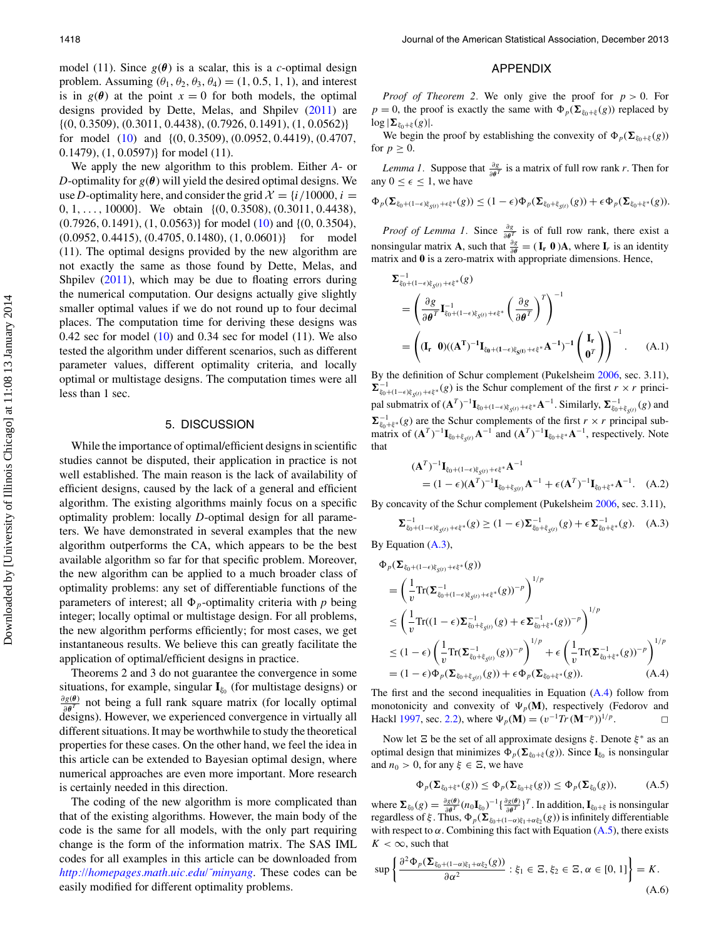model (11). Since  $g(\theta)$  is a scalar, this is a *c*-optimal design problem. Assuming  $(\theta_1, \theta_2, \theta_3, \theta_4) = (1, 0.5, 1, 1)$ , and interest is in  $g(\theta)$  at the point  $x = 0$  for both models, the optimal designs provided by Dette, Melas, and Shpilev [\(2011\)](#page-10-28) are {(0*,* 0*.*3509)*,*(0*.*3011*,* 0*.*4438)*,*(0*.*7926*,* 0*.*1491)*,*(1*,* 0*.*0562)} for model [\(10\)](#page-7-3) and {(0*,* 0*.*3509)*,*(0*.*0952*,* 0*.*4419)*,*(0*.*4707*,* 0*.*1479)*,*(1*,* 0*.*0597)} for model (11).

We apply the new algorithm to this problem. Either *A*- or *D*-optimality for  $g(\theta)$  will yield the desired optimal designs. We use *D*-optimality here, and consider the grid  $\mathcal{X} = \{i/10000, i =$ 0*,* 1*,...,* 10000}. We obtain {(0*,* 0*.*3508)*,*(0*.*3011*,* 0*.*4438)*,* (0*.*7926*,* 0*.*1491)*,*(1*,* 0*.*0563)} for model [\(10\)](#page-7-3) and {(0*,* 0*.*3504)*,* (0*.*0952*,* 0*.*4415)*,*(0*.*4705*,* 0*.*1480)*,*(1*,* 0*.*0601)} for model (11). The optimal designs provided by the new algorithm are not exactly the same as those found by Dette, Melas, and Shpilev [\(2011\)](#page-10-28), which may be due to floating errors during the numerical computation. Our designs actually give slightly smaller optimal values if we do not round up to four decimal places. The computation time for deriving these designs was 0.42 sec for model  $(10)$  and 0.34 sec for model  $(11)$ . We also tested the algorithm under different scenarios, such as different parameter values, different optimality criteria, and locally optimal or multistage designs. The computation times were all less than 1 sec.

#### <span id="page-8-0"></span>5. DISCUSSION

While the importance of optimal/efficient designs in scientific studies cannot be disputed, their application in practice is not well established. The main reason is the lack of availability of efficient designs, caused by the lack of a general and efficient algorithm. The existing algorithms mainly focus on a specific optimality problem: locally *D*-optimal design for all parameters. We have demonstrated in several examples that the new algorithm outperforms the CA, which appears to be the best available algorithm so far for that specific problem. Moreover, the new algorithm can be applied to a much broader class of optimality problems: any set of differentiable functions of the parameters of interest; all  $\Phi_p$ -optimality criteria with *p* being integer; locally optimal or multistage design. For all problems, the new algorithm performs efficiently; for most cases, we get instantaneous results. We believe this can greatly facilitate the application of optimal/efficient designs in practice.

Theorems 2 and 3 do not guarantee the convergence in some situations, for example, singular  $\mathbf{I}_{\xi_0}$  (for multistage designs) or  $\frac{\partial g(\theta)}{\partial \theta^T}$  not being a full rank square matrix (for locally optimal designs). However, we experienced convergence in virtually all different situations. It may be worthwhile to study the theoretical properties for these cases. On the other hand, we feel the idea in this article can be extended to Bayesian optimal design, where numerical approaches are even more important. More research is certainly needed in this direction.

The coding of the new algorithm is more complicated than that of the existing algorithms. However, the main body of the code is the same for all models, with the only part requiring change is the form of the information matrix. The SAS IML codes for all examples in this article can be downloaded from *[http://homepages.math.uic.edu/˜minyang](http://homepages.math.uic.edu/~minyang)*. These codes can be easily modified for different optimality problems.

#### APPENDIX

*Proof of Theorem 2.* We only give the proof for  $p > 0$ . For *p* = 0, the proof is exactly the same with  $\Phi_p(\Sigma_{\xi_0+\xi}(g))$  replaced by log |*<sup>ξ</sup>*0+*<sup>ξ</sup>* (*g*)|.

<span id="page-8-5"></span>We begin the proof by establishing the convexity of  $\Phi_p(\mathbf{\Sigma}_{\xi_0+\xi}(g))$ for  $p \geq 0$ .

*Lemma 1.* Suppose that  $\frac{\partial g}{\partial \theta}$  is a matrix of full row rank *r*. Then for any  $0 \leq \epsilon \leq 1$ , we have

$$
\Phi_p(\mathbf{\Sigma}_{\xi_0 + (1-\epsilon)\xi_{S^{(t)}} + \epsilon \xi^*}(g)) \leq (1-\epsilon)\Phi_p(\mathbf{\Sigma}_{\xi_0 + \xi_{S^{(t)}}}(g)) + \epsilon \Phi_p(\mathbf{\Sigma}_{\xi_0 + \xi^*}(g)).
$$

*Proof of Lemma 1.* Since  $\frac{\partial g}{\partial \theta}$  is of full row rank, there exist a nonsingular matrix **A**, such that  $\frac{\partial g}{\partial \theta} = (\mathbf{I_r \ 0})\mathbf{A}$ , where  $\mathbf{I_r}$  is an identity matrix and **0** is a zero-matrix with appropriate dimensions. Hence,

$$
\Sigma_{\xi_0+(1-\epsilon)\xi_{S^{(f)}}+\epsilon\xi^*}(g)
$$
\n
$$
= \left(\frac{\partial g}{\partial \theta^T} \mathbf{I}_{\xi_0+(1-\epsilon)\xi_{S^{(f)}}+\epsilon\xi^*}(\frac{\partial g}{\partial \theta^T})^T\right)^{-1}
$$
\n
$$
= \left((\mathbf{I}_{\mathbf{r}} \mathbf{0})((\mathbf{A}^T)^{-1}\mathbf{I}_{\xi_0+(1-\epsilon)\xi_{S^{(f)}}+\epsilon\xi^*}\mathbf{A}^{-1})^{-1}(\mathbf{I}_{\mathbf{r}})\right)^{-1}.
$$
\n(A.1)

By the definition of Schur complement (Pukelsheim [2006,](#page-10-29) sec. 3.11),  $\sum_{\xi_0+(1-\epsilon)\xi_{S(t)}+\epsilon\xi^*}(g)$  is the Schur complement of the first *r* × *r* principal submatrix of  $(A^T)^{-1}I_{\xi_0+(1-\epsilon)\xi_{S}(t)+\epsilon\xi^*}A^{-1}$ . Similarly,  $\Sigma^{-1}_{\xi_0+\xi_{S}(t)}(g)$  and  $\sum_{\xi_0+\xi^*}^{-1}(g)$  are the Schur complements of the first *r* × *r* principal submatrix of  $(A^T)^{-1}I_{\xi_0+\xi_{S}(t)}A^{-1}$  and  $(A^T)^{-1}I_{\xi_0+\xi^*}A^{-1}$ , respectively. Note that

<span id="page-8-7"></span><span id="page-8-1"></span>
$$
(\mathbf{A}^T)^{-1} \mathbf{I}_{\xi_0 + (1 - \epsilon)\xi_{\varsigma(t)} + \epsilon \xi^*} \mathbf{A}^{-1}
$$
  
=  $(1 - \epsilon)(\mathbf{A}^T)^{-1} \mathbf{I}_{\xi_0 + \xi_{\varsigma(t)}} \mathbf{A}^{-1} + \epsilon (\mathbf{A}^T)^{-1} \mathbf{I}_{\xi_0 + \xi^*} \mathbf{A}^{-1}.$  (A.2)

By concavity of the Schur complement (Pukelsheim [2006,](#page-10-29) sec. 3.11),

<span id="page-8-2"></span>
$$
\Sigma_{\xi_0 + (1 - \epsilon)\xi_{S^{(t)}} + \epsilon \xi^*}^{-1}(g) \ge (1 - \epsilon) \Sigma_{\xi_0 + \xi_{S^{(t)}}}^{-1}(g) + \epsilon \Sigma_{\xi_0 + \xi^*}^{-1}(g). \quad (A.3)
$$

By Equation [\(A.3\)](#page-8-1),

$$
\Phi_{p}(\mathbf{\Sigma}_{\xi_{0}+(1-\epsilon)\xi_{S^{(t)}}+\epsilon\xi^{*}}(g))
$$
\n
$$
= \left(\frac{1}{v}\text{Tr}(\mathbf{\Sigma}_{\xi_{0}+(1-\epsilon)\xi_{S^{(t)}}+\epsilon\xi^{*}}(g))^{-p}\right)^{1/p}
$$
\n
$$
\leq \left(\frac{1}{v}\text{Tr}((1-\epsilon)\mathbf{\Sigma}_{\xi_{0}+\xi_{S^{(t)}}}^{-1}(g)+\epsilon\mathbf{\Sigma}_{\xi_{0}+\xi^{*}}^{-1}(g))^{-p}\right)^{1/p}
$$
\n
$$
\leq (1-\epsilon)\left(\frac{1}{v}\text{Tr}(\mathbf{\Sigma}_{\xi_{0}+\xi_{S^{(t)}}}^{-1}(g))^{-p}\right)^{1/p} + \epsilon\left(\frac{1}{v}\text{Tr}(\mathbf{\Sigma}_{\xi_{0}+\xi^{*}}^{-1}(g))^{-p}\right)^{1/p}
$$
\n
$$
= (1-\epsilon)\Phi_{p}(\mathbf{\Sigma}_{\xi_{0}+\xi_{S^{(t)}}}(g)) + \epsilon\Phi_{p}(\mathbf{\Sigma}_{\xi_{0}+\xi^{*}}(g)). \tag{A.4}
$$

The first and the second inequalities in Equation [\(A.4\)](#page-8-2) follow from monotonicity and convexity of  $\Psi_p(\mathbf{M})$ , respectively (Fedorov and Hackl [1997,](#page-10-30) sec. [2.2\)](#page-3-2), where  $\Psi_p(\mathbf{M}) = (v^{-1}Tr(\mathbf{M}^{-p}))^{1/p}$ .  $□$ 

<span id="page-8-6"></span>Now let be the set of all approximate designs *ξ* . Denote *ξ* <sup>∗</sup> as an optimal design that minimizes  $\Phi_p(\mathbf{\Sigma}_{\xi_0+\xi}(g))$ . Since  $\mathbf{I}_{\xi_0}$  is nonsingular and  $n_0 > 0$ , for any  $\xi \in \Xi$ , we have

<span id="page-8-3"></span>
$$
\Phi_p(\mathbf{\Sigma}_{\xi_0+\xi^*}(g)) \leq \Phi_p(\mathbf{\Sigma}_{\xi_0+\xi}(g)) \leq \Phi_p(\mathbf{\Sigma}_{\xi_0}(g)),\tag{A.5}
$$

where  $\Sigma_{\xi_0}(g) = \frac{\partial g(\theta)}{\partial \theta^T} (n_0 \mathbf{I}_{\xi_0})^{-1} \{\frac{\partial g(\theta)}{\partial \theta^T}\}^T$ . In addition,  $\mathbf{I}_{\xi_0 + \xi}$  is nonsingular regardless of  $\xi$ . Thus,  $\Phi_p(\mathbf{\Sigma}_{\xi_0+(1-\alpha)\xi_1+\alpha\xi_2}(g))$  is infinitely differentiable with respect to  $\alpha$ . Combining this fact with Equation [\(A.5\)](#page-8-3), there exists  $K < \infty$ , such that

<span id="page-8-4"></span>
$$
\sup \left\{ \frac{\partial^2 \Phi_p(\mathbf{\Sigma}_{\xi_0 + (1-\alpha)\xi_1 + \alpha \xi_2}(g))}{\partial \alpha^2} : \xi_1 \in \Xi, \xi_2 \in \Xi, \alpha \in [0, 1] \right\} = K.
$$
\n(A.6)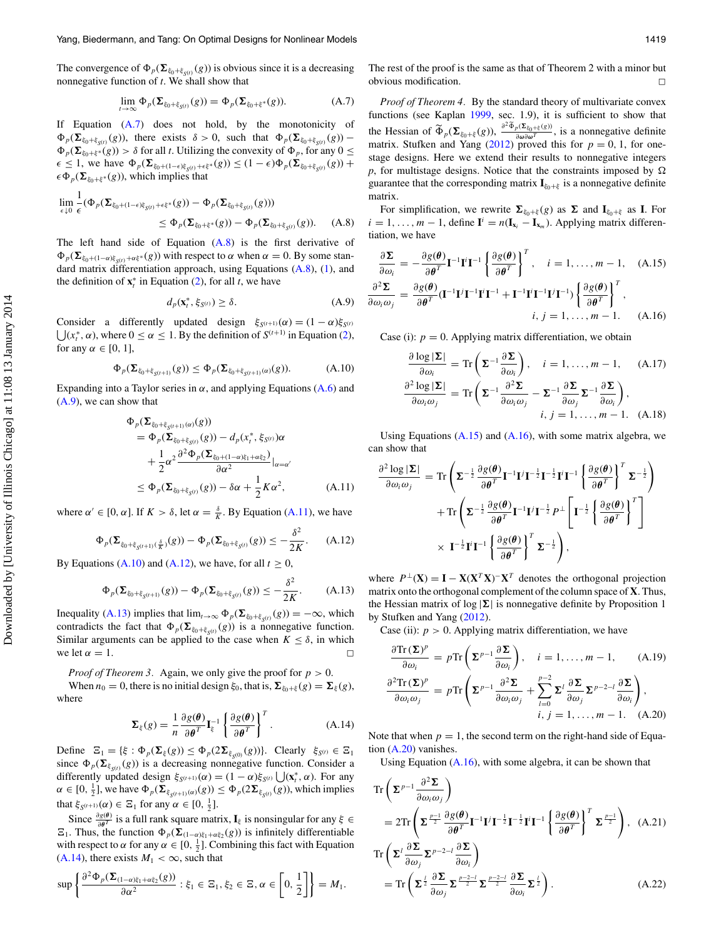The convergence of  $\Phi_p(\Sigma_{\xi_0+\xi_{S^{(t)}}}(g))$  is obvious since it is a decreasing nonnegative function of *t*. We shall show that

$$
\lim_{t \to \infty} \Phi_p(\mathbf{\Sigma}_{\xi_0 + \xi_{S^{(t)}}}(g)) = \Phi_p(\mathbf{\Sigma}_{\xi_0 + \xi^*}(g)). \tag{A.7}
$$

If Equation  $(A.7)$  does not hold, by the monotonicity of  $\Phi_p(\mathbf{\Sigma}_{\xi_0+\xi_{S^{(t)}}}(g))$ , there exists  $\delta > 0$ , such that  $\Phi_p(\mathbf{\Sigma}_{\xi_0+\xi_{S^{(t)}}}(g))$  –  $\Phi_p(\Sigma_{\xi_0+\xi^*}(g)) > \delta$  for all *t*. Utilizing the convexity of  $\Phi_p$ , for any  $0 \le$  $\epsilon \leq 1$ , we have  $\Phi_p(\Sigma_{\xi_0+(1-\epsilon)\xi_{S^{(r)}}+\epsilon\xi^*}(g)) \leq (1-\epsilon)\Phi_p(\Sigma_{\xi_0+\xi_{S^{(r)}}}(g)) +$  $\epsilon \Phi_p(\mathbf{\Sigma}_{\xi_0+\xi^*}(g))$ , which implies that

$$
\lim_{\epsilon \downarrow 0} \frac{1}{\epsilon} (\Phi_p(\Sigma_{\xi_0 + (1-\epsilon)\xi_{S^{(t)}} + \epsilon \xi^*}(g)) - \Phi_p(\Sigma_{\xi_0 + \xi_{S^{(t)}}}(g))) \n\leq \Phi_p(\Sigma_{\xi_0 + \xi^*}(g)) - \Phi_p(\Sigma_{\xi_0 + \xi_{S^{(t)}}}(g)).
$$
\n(A.8)

The left hand side of Equation  $(A.8)$  is the first derivative of  $\Phi_p(\mathbf{\Sigma}_{\xi_0+(1-\alpha)\xi_{S^{(t)}}+\alpha\xi^*}(g))$  with respect to *α* when  $\alpha=0$ . By some standard matrix differentiation approach, using Equations [\(A.8\)](#page-9-3), [\(1\)](#page-3-3), and the definition of  $\mathbf{x}_t^*$  in Equation [\(2\)](#page-3-1), for all *t*, we have

<span id="page-9-3"></span>
$$
d_p(\mathbf{x}_t^*, \xi_{S^{(t)}}) \ge \delta. \tag{A.9}
$$

Consider a differently updated design  $\xi_{S^{(t+1)}}(\alpha) = (1 - \alpha)\xi_{S^{(t)}}$ Consider a differently updated design  $\xi_{S^{(t+1)}}(\alpha) = (1 - \alpha)\xi_{S^{(t)}}$ <br>  $\bigcup (x_i^*, \alpha)$ , where  $0 \le \alpha \le 1$ . By the definition of  $S^{(t+1)}$  in Equation [\(2\)](#page-3-1), for any  $\alpha \in [0, 1]$ ,

<span id="page-9-6"></span>
$$
\Phi_p(\Sigma_{\xi_0+\xi_{S^{(t+1)}}}(g)) \le \Phi_p(\Sigma_{\xi_0+\xi_{S^{(t+1)}}(\alpha)}(g)). \tag{A.10}
$$

Expanding into a Taylor series in  $\alpha$ , and applying Equations [\(A.6\)](#page-8-4) and [\(A.9\)](#page-9-4), we can show that

<span id="page-9-5"></span>
$$
\Phi_p(\Sigma_{\xi_0+\xi_{S^{(t)}}(\alpha)}(g))
$$
\n
$$
= \Phi_p(\Sigma_{\xi_0+\xi_{S^{(t)}}}(g)) - d_p(x_t^*, \xi_{S^{(t)}})\alpha
$$
\n
$$
+ \frac{1}{2}\alpha^2 \frac{\partial^2 \Phi_p(\Sigma_{\xi_0+(1-\alpha)\xi_1+\alpha\xi_2})}{\partial \alpha^2}|_{\alpha=\alpha'}
$$
\n
$$
\leq \Phi_p(\Sigma_{\xi_0+\xi_{S^{(t)}}}(g)) - \delta\alpha + \frac{1}{2}K\alpha^2,
$$
\n(A.11)

where  $\alpha' \in [0, \alpha]$ . If  $K > \delta$ , let  $\alpha = \frac{\delta}{K}$ . By Equation [\(A.11\)](#page-9-5), we have

$$
\Phi_p(\mathbf{\Sigma}_{\xi_0+\xi_{S^{(t+1)}}(\frac{\delta}{K})}(g)) - \Phi_p(\mathbf{\Sigma}_{\xi_0+\xi_{S^{(t)}}}(g)) \leq -\frac{\delta^2}{2K}.
$$
 (A.12)

By Equations [\(A.10\)](#page-9-6) and [\(A.12\)](#page-9-7), we have, for all  $t \ge 0$ ,

$$
\Phi_p(\mathbf{\Sigma}_{\xi_0+\xi_{S^{(t+1)}}}(g)) - \Phi_p(\mathbf{\Sigma}_{\xi_0+\xi_{S^{(t)}}}(g)) \leq -\frac{\delta^2}{2K}.
$$
 (A.13)

Inequality [\(A.13\)](#page-9-8) implies that  $\lim_{t\to\infty} \Phi_p(\Sigma_{\xi_0+\xi_{S}(t)}(g)) = -\infty$ , which contradicts the fact that  $\Phi_p(\Sigma_{\xi_0+\xi_{S^{(t)}}}(g))$  is a nonnegative function. Similar arguments can be applied to the case when  $K \leq \delta$ , in which we let  $\alpha = 1$ .  $\Box$ 

*Proof of Theorem 3.* Again, we only give the proof for *p >* 0.

<span id="page-9-9"></span>When  $n_0 = 0$ , there is no initial design  $\xi_0$ , that is,  $\Sigma_{\xi_0 + \xi}(g) = \Sigma_{\xi}(g)$ , where

$$
\mathbf{\Sigma}_{\xi}(g) = \frac{1}{n} \frac{\partial g(\boldsymbol{\theta})}{\partial \boldsymbol{\theta}^T} \mathbf{I}_{\xi}^{-1} \left\{ \frac{\partial g(\boldsymbol{\theta})}{\partial \boldsymbol{\theta}^T} \right\}^T.
$$
 (A.14)

Define  $\Xi_1 = {\xi : \Phi_p(\Sigma_{\xi}(g)) \leq \Phi_p(2\Sigma_{\xi_{S^{(0)}}}(g))}.$  Clearly  $\xi_{S^{(t)}} \in \Xi_1$ since  $\Phi_p(\mathbf{\Sigma}_{\xi_{S^{(t)}}}(g))$  is a decreasing nonnegative function. Consider a differently updated design  $\xi_{S^{(t+1)}}(\alpha) = (1 - \alpha)\xi_{S^{(t)}} \bigcup (\mathbf{x}_t^*, \alpha)$ . For any  $\alpha \in [0, \frac{1}{2}]$ , we have  $\Phi_p(\Sigma_{\xi_{S^{(t+1)}}(\alpha)}(g)) \leq \Phi_p(2\Sigma_{\xi_{S^{(t)}}}(g))$ , which implies that  $\xi_{S^{(t+1)}}(\alpha) \in \Xi_1$  for any  $\alpha \in [0, \frac{1}{2}].$ 

Since  $\frac{\partial g(\theta)}{\partial \theta^T}$  is a full rank square matrix, **I**<sub>*ξ*</sub> is nonsingular for any  $\xi \in$  $\mathbf{E}_1$ . Thus, the function  $\Phi_p(\mathbf{\Sigma}_{(1-\alpha)\xi_1+\alpha\xi_2}(g))$  is infinitely differentiable with respect to  $\alpha$  for any  $\alpha \in [0, \frac{1}{2}]$ . Combining this fact with Equation [\(A.14\)](#page-9-9), there exists  $M_1 < \infty$ , such that

$$
\sup \left\{ \frac{\partial^2 \Phi_p(\mathbf{\Sigma}_{(1-\alpha)\xi_1+\alpha\xi_2}(g))}{\partial \alpha^2} : \xi_1 \in \Xi_1, \xi_2 \in \Xi, \alpha \in \left[0, \frac{1}{2}\right] \right\} = M_1.
$$

The rest of the proof is the same as that of Theorem 2 with a minor but obvious modification. -

<span id="page-9-13"></span><span id="page-9-12"></span><span id="page-9-2"></span>*Proof of Theorem 4.* By the standard theory of multivariate convex functions (see Kaplan [1999,](#page-10-21) sec. 1.9), it is sufficient to show that the Hessian of  $\tilde{\Phi}_p(\Sigma_{\xi_0+\xi}(g)), \frac{\partial^2 \tilde{\Phi}_p(\Sigma_{\xi_0+\xi}(g))}{\partial \omega \partial \omega^T}$ , is a nonnegative definite matrix. Stufken and Yang [\(2012\)](#page-10-25) proved this for  $p = 0, 1$ , for onestage designs. Here we extend their results to nonnegative integers  $p$ , for multistage designs. Notice that the constraints imposed by  $\Omega$ guarantee that the corresponding matrix  $\mathbf{I}_{\xi_0+\xi}$  is a nonnegative definite matrix.

For simplification, we rewrite  $\Sigma_{\xi_0+\xi}(g)$  as  $\Sigma$  and  $I_{\xi_0+\xi}$  as I. For  $i = 1, \ldots, m - 1$ , define  $I^i = n(I_{x_i} - I_{x_m})$ . Applying matrix differentiation, we have

<span id="page-9-10"></span><span id="page-9-4"></span>
$$
\frac{\partial \Sigma}{\partial \omega_i} = -\frac{\partial g(\boldsymbol{\theta})}{\partial \boldsymbol{\theta}^T} \mathbf{I}^{-1} \mathbf{I}^i \mathbf{I}^{-1} \left\{ \frac{\partial g(\boldsymbol{\theta})}{\partial \boldsymbol{\theta}^T} \right\}^T, \quad i = 1, ..., m - 1, \quad \text{(A.15)}
$$

$$
\frac{\partial^2 \Sigma}{\partial \omega_i \omega_j} = \frac{\partial g(\boldsymbol{\theta})}{\partial \boldsymbol{\theta}^T} (\mathbf{I}^{-1} \mathbf{I}^j \mathbf{I}^{-1} \mathbf{I}^i \mathbf{I}^{-1} + \mathbf{I}^{-1} \mathbf{I}^i \mathbf{I}^{-1} \mathbf{I}^j \mathbf{I}^{-1}) \left\{ \frac{\partial g(\boldsymbol{\theta})}{\partial \boldsymbol{\theta}^T} \right\}^T,
$$

$$
i, j = 1, ..., m - 1. \quad \text{(A.16)}
$$

Case (i):  $p = 0$ . Applying matrix differentiation, we obtain

<span id="page-9-0"></span>
$$
\frac{\partial \log |\Sigma|}{\partial \omega_i} = \text{Tr}\left(\Sigma^{-1} \frac{\partial \Sigma}{\partial \omega_i}\right), \quad i = 1, ..., m - 1, \quad (A.17)
$$

$$
\frac{\partial^2 \log |\Sigma|}{\partial \omega_i \omega_j} = \text{Tr}\left(\Sigma^{-1} \frac{\partial^2 \Sigma}{\partial \omega_i \omega_j} - \Sigma^{-1} \frac{\partial \Sigma}{\partial \omega_j} \Sigma^{-1} \frac{\partial \Sigma}{\partial \omega_i}\right),
$$

$$
i, j = 1, ..., m - 1. \quad (A.18)
$$

Using Equations  $(A.15)$  and  $(A.16)$ , with some matrix algebra, we can show that

$$
\frac{\partial^2 \log |\Sigma|}{\partial \omega_i \omega_j} = \text{Tr}\left(\Sigma^{-\frac{1}{2}} \frac{\partial g(\theta)}{\partial \theta^T} \mathbf{I}^{-1} \mathbf{I}^j \mathbf{I}^{-\frac{1}{2}} \mathbf{I}^i \mathbf{I}^{-1} \left\{ \frac{\partial g(\theta)}{\partial \theta^T} \right\}^T \Sigma^{-\frac{1}{2}} \right) \n+ \text{Tr}\left(\Sigma^{-\frac{1}{2}} \frac{\partial g(\theta)}{\partial \theta^T} \mathbf{I}^{-1} \mathbf{I}^j \mathbf{I}^{-\frac{1}{2}} P^{\perp} \left[ \mathbf{I}^{-\frac{1}{2}} \left\{ \frac{\partial g(\theta)}{\partial \theta^T} \right\}^T \right] \right) \n\times \mathbf{I}^{-\frac{1}{2}} \mathbf{I}^i \mathbf{I}^{-1} \left\{ \frac{\partial g(\theta)}{\partial \theta^T} \right\}^T \Sigma^{-\frac{1}{2}} \right),
$$

<span id="page-9-8"></span><span id="page-9-7"></span>where  $P^{\perp}(\mathbf{X}) = \mathbf{I} - \mathbf{X}(\mathbf{X}^T\mathbf{X}) - \mathbf{X}^T$  denotes the orthogonal projection matrix onto the orthogonal complement of the column space of **X**. Thus, the Hessian matrix of  $log |\Sigma|$  is nonnegative definite by Proposition 1 by Stufken and Yang [\(2012\)](#page-10-25).

Case (ii):  $p > 0$ . Applying matrix differentiation, we have

<span id="page-9-1"></span>
$$
\frac{\partial \text{Tr}(\mathbf{\Sigma})^p}{\partial \omega_i} = p \text{Tr}\left(\mathbf{\Sigma}^{p-1} \frac{\partial \mathbf{\Sigma}}{\partial \omega_i}\right), \quad i = 1, ..., m-1, \quad (A.19)
$$

$$
\frac{\partial^2 \text{Tr}(\mathbf{\Sigma})^p}{\partial \omega_i \omega_j} = p \text{Tr}\left(\mathbf{\Sigma}^{p-1} \frac{\partial^2 \mathbf{\Sigma}}{\partial \omega_i \omega_j} + \sum_{l=0}^{p-2} \mathbf{\Sigma}^l \frac{\partial \mathbf{\Sigma}}{\partial \omega_j} \mathbf{\Sigma}^{p-2-l} \frac{\partial \mathbf{\Sigma}}{\partial \omega_i}\right),
$$

$$
i, j = 1, ..., m-1. \quad (A.20)
$$

Note that when  $p = 1$ , the second term on the right-hand side of Equation [\(A.20\)](#page-9-1) vanishes.

<span id="page-9-11"></span>Using Equation [\(A.16\)](#page-9-10), with some algebra, it can be shown that

$$
\begin{split} &\text{Tr}\left(\mathbf{\Sigma}^{p-1}\frac{\partial^2 \mathbf{\Sigma}}{\partial \omega_i \omega_j}\right) \\ &= 2 \text{Tr}\left(\mathbf{\Sigma}^{\frac{p-1}{2}}\frac{\partial g(\boldsymbol{\theta})}{\partial \boldsymbol{\theta}^T}\mathbf{I}^{-1}\mathbf{I}^j\mathbf{I}^{-\frac{1}{2}}\mathbf{I}^i\mathbf{I}^{-1}\left\{\frac{\partial g(\boldsymbol{\theta})}{\partial \boldsymbol{\theta}^T}\right\}^T \mathbf{\Sigma}^{\frac{p-1}{2}}\right), \quad \text{(A.21)} \\ &\text{Tr}\left(\mathbf{\Sigma}^l \frac{\partial \mathbf{\Sigma}}{\partial \omega_j} \mathbf{\Sigma}^{p-2-l} \frac{\partial \mathbf{\Sigma}}{\partial \omega_i}\right) \\ &= \text{Tr}\left(\mathbf{\Sigma}^{\frac{l}{2}}\frac{\partial \mathbf{\Sigma}}{\partial \omega_j} \mathbf{\Sigma}^{\frac{p-2-l}{2}} \mathbf{\Sigma}^{\frac{p-2-l}{2}}\frac{\partial \mathbf{\Sigma}}{\partial \omega_i} \mathbf{\Sigma}^{\frac{l}{2}}\right). \end{split}
$$